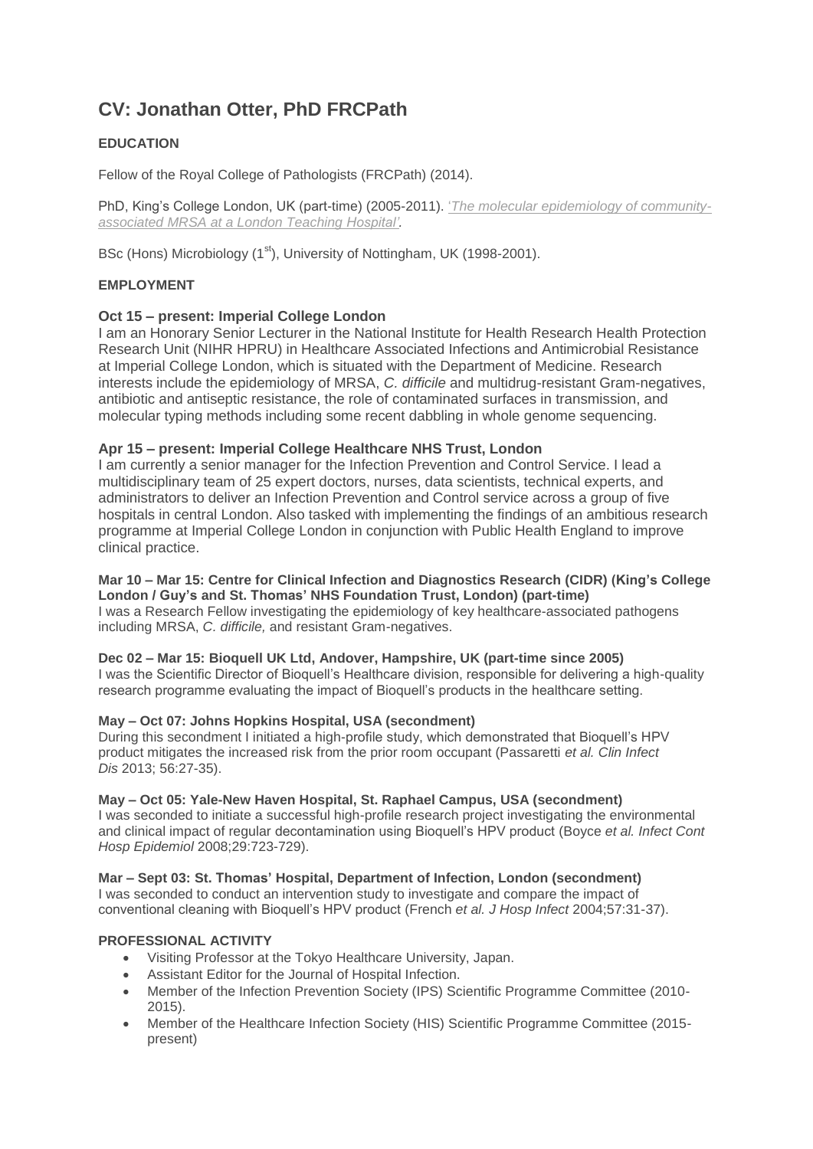# **CV: Jonathan Otter, PhD FRCPath**

## **EDUCATION**

Fellow of the Royal College of Pathologists (FRCPath) (2014).

PhD, King's College London, UK (part-time) (2005-2011). '*[T](https://jonotter.files.wordpress.com/2015/07/110215-jon-otter-phd-thesis_final_condensed.pdf)he molecular [epidemiology](https://jonotter.files.wordpress.com/2015/07/110215-jon-otter-phd-thesis_final_condensed.pdf) of community[associated](https://jonotter.files.wordpress.com/2015/07/110215-jon-otter-phd-thesis_final_condensed.pdf) MRSA at a London Teaching Hospital'.*

BSc (Hons) Microbiology (1<sup>st</sup>), University of Nottingham, UK (1998-2001).

### **EMPLOYMENT**

#### **Oct 15 – present: Imperial College London**

I am an Honorary Senior Lecturer in the National Institute for Health Research Health Protection Research Unit (NIHR HPRU) in Healthcare Associated Infections and Antimicrobial Resistance at Imperial College London, which is situated with the Department of Medicine. Research interests include the epidemiology of MRSA, *C. difficile* and multidrug-resistant Gram-negatives, antibiotic and antiseptic resistance, the role of contaminated surfaces in transmission, and molecular typing methods including some recent dabbling in whole genome sequencing.

#### **Apr 15 – present: Imperial College Healthcare NHS Trust, London**

I am currently a senior manager for the Infection Prevention and Control Service. I lead a multidisciplinary team of 25 expert doctors, nurses, data scientists, technical experts, and administrators to deliver an Infection Prevention and Control service across a group of five hospitals in central London. Also tasked with implementing the findings of an ambitious research programme at Imperial College London in conjunction with Public Health England to improve clinical practice.

#### **Mar 10 – Mar 15: Centre for Clinical Infection and Diagnostics Research (CIDR) (King's College London / Guy's and St. Thomas' NHS Foundation Trust, London) (part-time)** I was a Research Fellow investigating the epidemiology of key healthcare-associated pathogens including MRSA, *C. difficile,* and resistant Gram-negatives.

#### **Dec 02 – Mar 15: Bioquell UK Ltd, Andover, Hampshire, UK (part-time since 2005)** I was the Scientific Director of Bioquell's Healthcare division, responsible for delivering a high-quality research programme evaluating the impact of Bioquell's products in the healthcare setting.

#### **May – Oct 07: Johns Hopkins Hospital, USA (secondment)**

During this secondment I initiated a high-profile study, which demonstrated that Bioquell's HPV product mitigates the increased risk from the prior room occupant (Passaretti *et al. Clin Infect Dis* 2013; 56:27-35).

#### **May – Oct 05: Yale-New Haven Hospital, St. Raphael Campus, USA (secondment)**

I was seconded to initiate a successful high-profile research project investigating the environmental and clinical impact of regular decontamination using Bioquell's HPV product (Boyce *et al. Infect Cont Hosp Epidemiol* 2008;29:723-729).

#### **Mar – Sept 03: St. Thomas' Hospital, Department of Infection, London (secondment)**

I was seconded to conduct an intervention study to investigate and compare the impact of conventional cleaning with Bioquell's HPV product (French *et al. J Hosp Infect* 2004;57:31-37).

#### **PROFESSIONAL ACTIVITY**

- Visiting Professor at the Tokyo Healthcare University, Japan.
- Assistant Editor for the Journal of Hospital Infection.
- Member of the Infection Prevention Society (IPS) Scientific Programme Committee (2010- 2015).
- Member of the Healthcare Infection Society (HIS) Scientific Programme Committee (2015 present)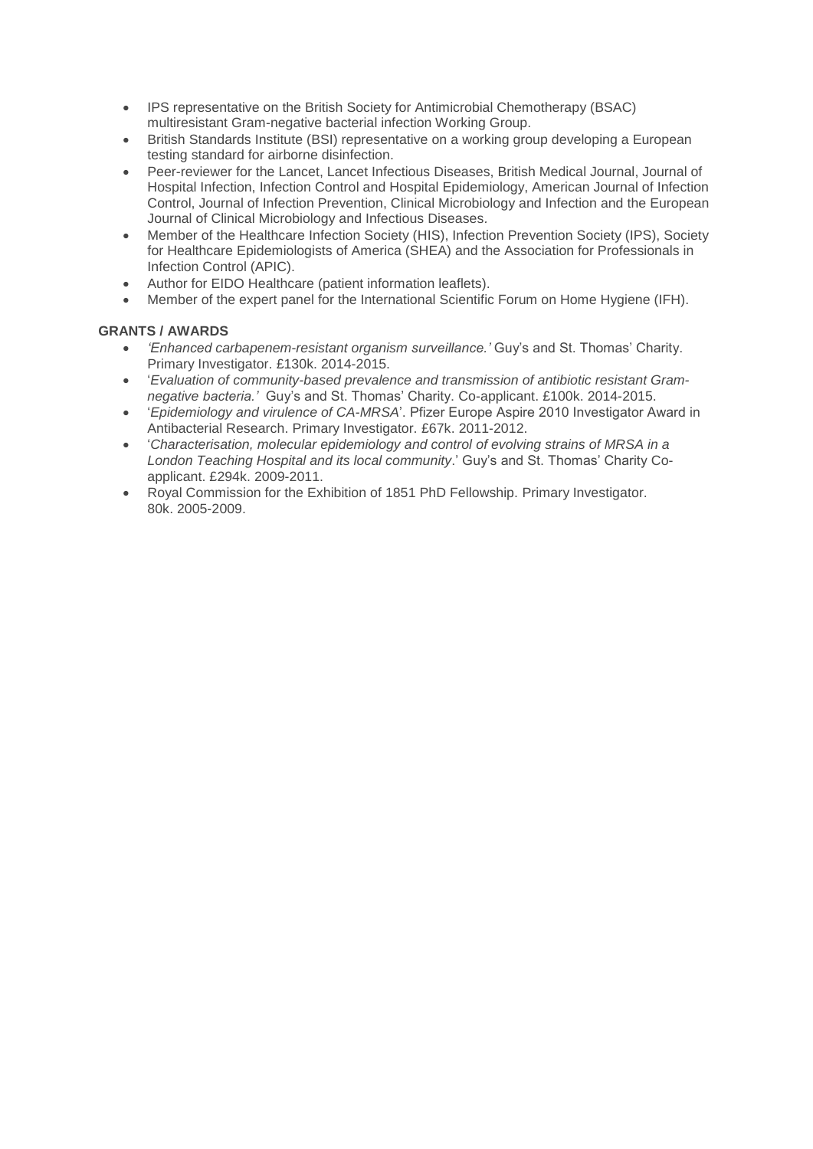- IPS representative on the British Society for Antimicrobial Chemotherapy (BSAC) multiresistant Gram-negative bacterial infection Working Group.
- British Standards Institute (BSI) representative on a working group developing a European testing standard for airborne disinfection.
- Peer-reviewer for the Lancet, Lancet Infectious Diseases, British Medical Journal, Journal of Hospital Infection, Infection Control and Hospital Epidemiology, American Journal of Infection Control, Journal of Infection Prevention, Clinical Microbiology and Infection and the European Journal of Clinical Microbiology and Infectious Diseases*.*
- Member of the Healthcare Infection Society (HIS), Infection Prevention Society (IPS), Society for Healthcare Epidemiologists of America (SHEA) and the Association for Professionals in Infection Control (APIC).
- Author for EIDO Healthcare (patient information leaflets).
- Member of the expert panel for the International Scientific Forum on Home Hygiene (IFH).

## **GRANTS / AWARDS**

- *'Enhanced carbapenem-resistant organism surveillance.'* Guy's and St. Thomas' Charity. Primary Investigator. £130k. 2014-2015.
- '*Evaluation of community-based prevalence and transmission of antibiotic resistant Gramnegative bacteria.'* Guy's and St. Thomas' Charity. Co-applicant. £100k. 2014-2015.
- '*Epidemiology and virulence of CA-MRSA*'. Pfizer Europe Aspire 2010 Investigator Award in Antibacterial Research. Primary Investigator. £67k. 2011-2012.
- '*Characterisation, molecular epidemiology and control of evolving strains of MRSA in a London Teaching Hospital and its local community*.' Guy's and St. Thomas' Charity Coapplicant. £294k. 2009-2011.
- Royal Commission for the Exhibition of 1851 PhD Fellowship. Primary Investigator. 80k. 2005-2009.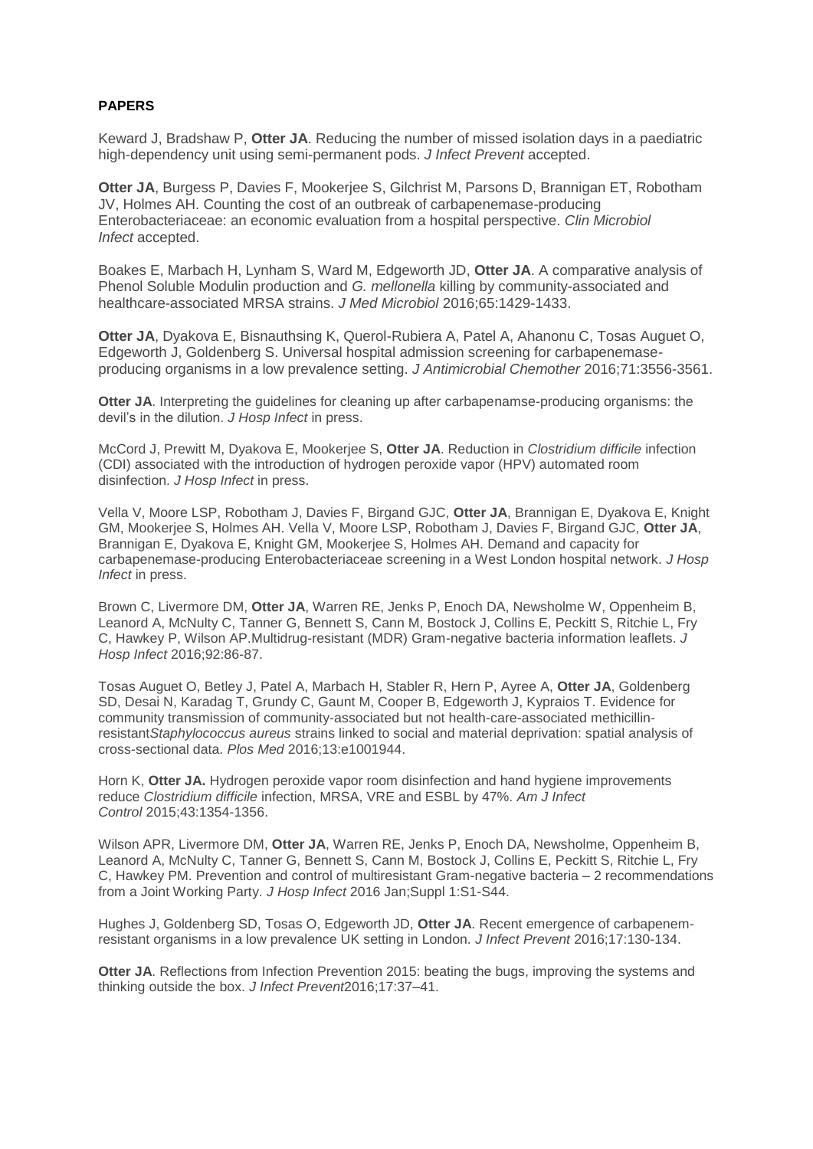## **PAPERS**

Keward J, Bradshaw P, **Otter JA**. Reducing the number of missed isolation days in a paediatric high-dependency unit using semi-permanent pods. *J Infect Prevent* accepted.

**Otter JA**, Burgess P, Davies F, Mookerjee S, Gilchrist M, Parsons D, Brannigan ET, Robotham JV, Holmes AH. Counting the cost of an outbreak of carbapenemase-producing Enterobacteriaceae: an economic evaluation from a hospital perspective. *Clin Microbiol Infect* accepted.

Boakes E, Marbach H, Lynham S, Ward M, Edgeworth JD, **Otter JA**. A comparative analysis of Phenol Soluble Modulin production and *G. mellonella* killing by community-associated and healthcare-associated MRSA strains. *J Med Microbiol* 2016;65:1429-1433.

**Otter JA**, Dyakova E, Bisnauthsing K, Querol-Rubiera A, Patel A, Ahanonu C, Tosas Auguet O, Edgeworth J, Goldenberg S. Universal hospital admission screening for carbapenemaseproducing organisms in a low prevalence setting. *J Antimicrobial Chemother* 2016;71:3556-3561.

**Otter JA**. Interpreting the guidelines for cleaning up after carbapenamse-producing organisms: the devil's in the dilution. *J Hosp Infect* in press.

McCord J, Prewitt M, Dyakova E, Mookerjee S, **Otter JA**. Reduction in *Clostridium difficile* infection (CDI) associated with the introduction of hydrogen peroxide vapor (HPV) automated room disinfection. *J Hosp Infect* in press.

Vella V, Moore LSP, Robotham J, Davies F, Birgand GJC, **Otter JA**, Brannigan E, Dyakova E, Knight GM, Mookerjee S, Holmes AH. Vella V, Moore LSP, Robotham J, Davies F, Birgand GJC, **Otter JA**, Brannigan E, Dyakova E, Knight GM, Mookerjee S, Holmes AH. Demand and capacity for carbapenemase-producing Enterobacteriaceae screening in a West London hospital network. *J Hosp Infect* in press.

Brown C, Livermore DM, **Otter JA**, Warren RE, Jenks P, Enoch DA, Newsholme W, Oppenheim B, Leanord A, McNulty C, Tanner G, Bennett S, Cann M, Bostock J, Collins E, Peckitt S, Ritchie L, Fry C, Hawkey P, Wilson AP.Multidrug-resistant (MDR) Gram-negative bacteria information leaflets. *J Hosp Infect* 2016;92:86-87.

Tosas Auguet O, Betley J, Patel A, Marbach H, Stabler R, Hern P, Ayree A, **Otter JA**, Goldenberg SD, Desai N, Karadag T, Grundy C, Gaunt M, Cooper B, Edgeworth J, Kypraios T. Evidence for community transmission of community-associated but not health-care-associated methicillinresistant*Staphylococcus aureus* strains linked to social and material deprivation: spatial analysis of cross-sectional data. *Plos Med* 2016;13:e1001944.

Horn K, **Otter JA.** Hydrogen peroxide vapor room disinfection and hand hygiene improvements reduce *Clostridium difficile* infection, MRSA, VRE and ESBL by 47%. *Am J Infect Control* 2015;43:1354-1356.

Wilson APR, Livermore DM, **Otter JA**, Warren RE, Jenks P, Enoch DA, Newsholme, Oppenheim B, Leanord A, McNulty C, Tanner G, Bennett S, Cann M, Bostock J, Collins E, Peckitt S, Ritchie L, Fry C, Hawkey PM. Prevention and control of multiresistant Gram-negative bacteria – 2 recommendations from a Joint Working Party. *J Hosp Infect* 2016 Jan;Suppl 1:S1-S44.

Hughes J, Goldenberg SD, Tosas O, Edgeworth JD, **Otter JA**. Recent emergence of carbapenemresistant organisms in a low prevalence UK setting in London. *J Infect Prevent* 2016;17:130-134.

**Otter JA**. Reflections from Infection Prevention 2015: beating the bugs, improving the systems and thinking outside the box. *J Infect Prevent*2016;17:37–41.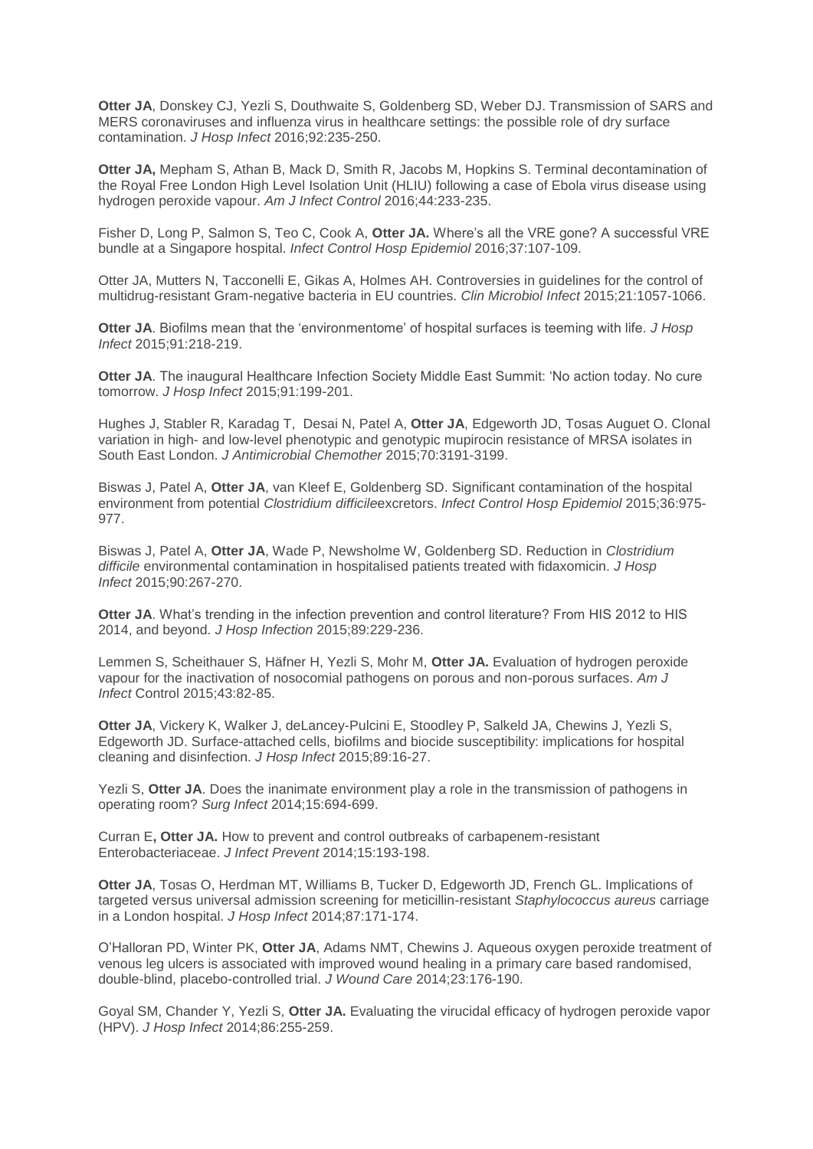**Otter JA**, Donskey CJ, Yezli S, Douthwaite S, Goldenberg SD, Weber DJ. Transmission of SARS and MERS coronaviruses and influenza virus in healthcare settings: the possible role of dry surface contamination. *J Hosp Infect* 2016;92:235-250.

**Otter JA,** Mepham S, Athan B, Mack D, Smith R, Jacobs M, Hopkins S. Terminal decontamination of the Royal Free London High Level Isolation Unit (HLIU) following a case of Ebola virus disease using hydrogen peroxide vapour. *Am J Infect Control* 2016;44:233-235.

Fisher D, Long P, Salmon S, Teo C, Cook A, **Otter JA.** Where's all the VRE gone? A successful VRE bundle at a Singapore hospital. *Infect Control Hosp Epidemiol* 2016;37:107-109.

Otter JA, Mutters N, Tacconelli E, Gikas A, Holmes AH. Controversies in guidelines for the control of multidrug-resistant Gram-negative bacteria in EU countries. *Clin Microbiol Infect* 2015;21:1057-1066.

**Otter JA**. Biofilms mean that the 'environmentome' of hospital surfaces is teeming with life. *J Hosp Infect* 2015;91:218-219.

**Otter JA**. The inaugural Healthcare Infection Society Middle East Summit: 'No action today. No cure tomorrow. *J Hosp Infect* 2015;91:199-201.

Hughes J, Stabler R, Karadag T, Desai N, Patel A, **Otter JA**, Edgeworth JD, Tosas Auguet O. Clonal variation in high- and low-level phenotypic and genotypic mupirocin resistance of MRSA isolates in South East London. *J Antimicrobial Chemother* 2015;70:3191-3199.

Biswas J, Patel A, **Otter JA**, van Kleef E, Goldenberg SD. Significant contamination of the hospital environment from potential *Clostridium difficile*excretors. *Infect Control Hosp Epidemiol* 2015;36:975- 977.

Biswas J, Patel A, **Otter JA**, Wade P, Newsholme W, Goldenberg SD. Reduction in *Clostridium difficile* environmental contamination in hospitalised patients treated with fidaxomicin. *J Hosp Infect* 2015;90:267-270.

**Otter JA**. What's trending in the infection prevention and control literature? From HIS 2012 to HIS 2014, and beyond. *J Hosp Infection* 2015;89:229-236.

Lemmen S, Scheithauer S, Häfner H, Yezli S, Mohr M, **Otter JA.** Evaluation of hydrogen peroxide vapour for the inactivation of nosocomial pathogens on porous and non-porous surfaces. *Am J Infect* Control 2015;43:82-85.

**Otter JA**, Vickery K, Walker J, deLancey-Pulcini E, Stoodley P, Salkeld JA, Chewins J, Yezli S, Edgeworth JD. Surface-attached cells, biofilms and biocide susceptibility: implications for hospital cleaning and disinfection. *J Hosp Infect* 2015;89:16-27.

Yezli S, **Otter JA**. Does the inanimate environment play a role in the transmission of pathogens in operating room? *Surg Infect* 2014;15:694-699.

Curran E**, Otter JA.** How to prevent and control outbreaks of carbapenem-resistant Enterobacteriaceae. *J Infect Prevent* 2014;15:193-198.

**Otter JA**, Tosas O, Herdman MT, Williams B, Tucker D, Edgeworth JD, French GL. Implications of targeted versus universal admission screening for meticillin-resistant *Staphylococcus aureus* carriage in a London hospital. *J Hosp Infect* 2014;87:171-174.

O'Halloran PD, Winter PK, **Otter JA**, Adams NMT, Chewins J. Aqueous oxygen peroxide treatment of venous leg ulcers is associated with improved wound healing in a primary care based randomised, double-blind, placebo-controlled trial. *J Wound Care* 2014;23:176-190.

Goyal SM, Chander Y, Yezli S, **Otter JA.** Evaluating the virucidal efficacy of hydrogen peroxide vapor (HPV). *J Hosp Infect* 2014;86:255-259.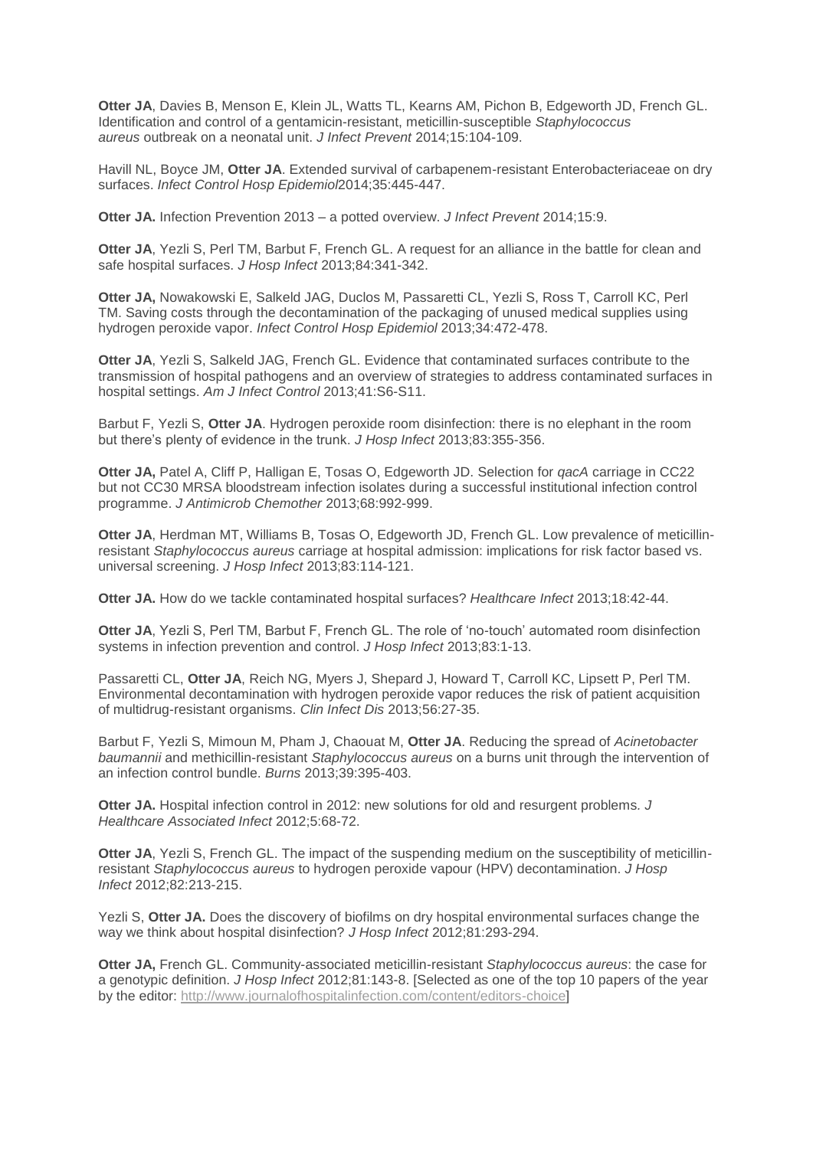**Otter JA**, Davies B, Menson E, Klein JL, Watts TL, Kearns AM, Pichon B, Edgeworth JD, French GL. Identification and control of a gentamicin-resistant, meticillin-susceptible *Staphylococcus aureus* outbreak on a neonatal unit. *J Infect Prevent* 2014;15:104-109.

Havill NL, Boyce JM, **Otter JA**. Extended survival of carbapenem-resistant Enterobacteriaceae on dry surfaces. *Infect Control Hosp Epidemiol*2014;35:445-447.

**Otter JA.** Infection Prevention 2013 – a potted overview. *J Infect Prevent* 2014;15:9.

**Otter JA**, Yezli S, Perl TM, Barbut F, French GL. A request for an alliance in the battle for clean and safe hospital surfaces. *J Hosp Infect* 2013;84:341-342.

**Otter JA,** Nowakowski E, Salkeld JAG, Duclos M, Passaretti CL, Yezli S, Ross T, Carroll KC, Perl TM. Saving costs through the decontamination of the packaging of unused medical supplies using hydrogen peroxide vapor. *Infect Control Hosp Epidemiol* 2013;34:472-478.

**Otter JA**, Yezli S, Salkeld JAG, French GL. Evidence that contaminated surfaces contribute to the transmission of hospital pathogens and an overview of strategies to address contaminated surfaces in hospital settings. *Am J Infect Control* 2013;41:S6-S11.

Barbut F, Yezli S, **Otter JA**. Hydrogen peroxide room disinfection: there is no elephant in the room but there's plenty of evidence in the trunk. *J Hosp Infect* 2013;83:355-356.

**Otter JA,** Patel A, Cliff P, Halligan E, Tosas O, Edgeworth JD. Selection for *qacA* carriage in CC22 but not CC30 MRSA bloodstream infection isolates during a successful institutional infection control programme. *J Antimicrob Chemother* 2013;68:992-999.

**Otter JA**, Herdman MT, Williams B, Tosas O, Edgeworth JD, French GL. Low prevalence of meticillinresistant *Staphylococcus aureus* carriage at hospital admission: implications for risk factor based vs. universal screening. *J Hosp Infect* 2013;83:114-121.

**Otter JA.** How do we tackle contaminated hospital surfaces? *Healthcare Infect* 2013;18:42-44.

**Otter JA**, Yezli S, Perl TM, Barbut F, French GL. The role of 'no-touch' automated room disinfection systems in infection prevention and control. *J Hosp Infect* 2013;83:1-13.

Passaretti CL, **Otter JA**, Reich NG, Myers J, Shepard J, Howard T, Carroll KC, Lipsett P, Perl TM. Environmental decontamination with hydrogen peroxide vapor reduces the risk of patient acquisition of multidrug-resistant organisms. *Clin Infect Dis* 2013;56:27-35.

Barbut F, Yezli S, Mimoun M, Pham J, Chaouat M, **Otter JA**. Reducing the spread of *Acinetobacter baumannii* and methicillin-resistant *Staphylococcus aureus* on a burns unit through the intervention of an infection control bundle. *Burns* 2013;39:395-403.

**Otter JA.** Hospital infection control in 2012: new solutions for old and resurgent problems*. J Healthcare Associated Infect* 2012;5:68-72.

**Otter JA, Yezli S, French GL. The impact of the suspending medium on the susceptibility of meticillin**resistant *Staphylococcus aureus* to hydrogen peroxide vapour (HPV) decontamination. *J Hosp Infect* 2012;82:213-215.

Yezli S, **Otter JA.** Does the discovery of biofilms on dry hospital environmental surfaces change the way we think about hospital disinfection? *J Hosp Infect* 2012;81:293-294.

**Otter JA,** French GL. Community-associated meticillin-resistant *Staphylococcus aureus*: the case for a genotypic definition. *J Hosp Infect* 2012;81:143-8. [Selected as one of the top 10 papers of the year by the editor: [http://www.journalofhospitalinfection.com/content/editors-choice\]](http://www.journalofhospitalinfection.com/content/editors-choice)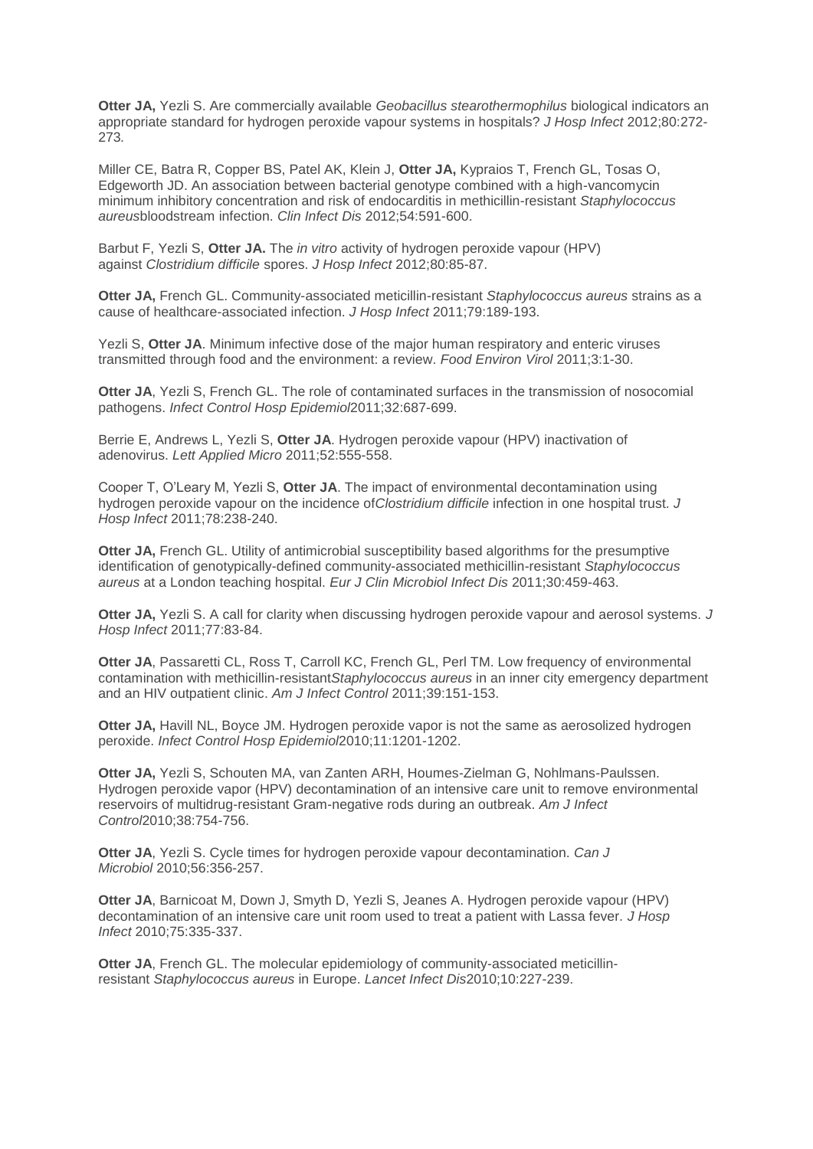**Otter JA,** Yezli S. Are commercially available *Geobacillus stearothermophilus* biological indicators an appropriate standard for hydrogen peroxide vapour systems in hospitals? *J Hosp Infect* 2012;80:272- 273*.*

Miller CE, Batra R, Copper BS, Patel AK, Klein J, **Otter JA,** Kypraios T, French GL, Tosas O, Edgeworth JD. An association between bacterial genotype combined with a high-vancomycin minimum inhibitory concentration and risk of endocarditis in methicillin-resistant *Staphylococcus aureus*bloodstream infection. *Clin Infect Dis* 2012;54:591-600.

Barbut F, Yezli S, **Otter JA.** The *in vitro* activity of hydrogen peroxide vapour (HPV) against *Clostridium difficile* spores. *J Hosp Infect* 2012;80:85-87.

**Otter JA,** French GL. Community-associated meticillin-resistant *Staphylococcus aureus* strains as a cause of healthcare-associated infection. *J Hosp Infect* 2011;79:189-193.

Yezli S, **Otter JA**. Minimum infective dose of the major human respiratory and enteric viruses transmitted through food and the environment: a review. *Food Environ Virol* 2011;3:1-30.

**Otter JA**, Yezli S, French GL. The role of contaminated surfaces in the transmission of nosocomial pathogens. *Infect Control Hosp Epidemiol*2011;32:687-699.

Berrie E, Andrews L, Yezli S, **Otter JA**. Hydrogen peroxide vapour (HPV) inactivation of adenovirus. *Lett Applied Micro* 2011;52:555-558.

Cooper T, O'Leary M, Yezli S, **Otter JA**. The impact of environmental decontamination using hydrogen peroxide vapour on the incidence of*Clostridium difficile* infection in one hospital trust. *J Hosp Infect* 2011;78:238-240.

**Otter JA,** French GL. Utility of antimicrobial susceptibility based algorithms for the presumptive identification of genotypically-defined community-associated methicillin-resistant *Staphylococcus aureus* at a London teaching hospital. *Eur J Clin Microbiol Infect Dis* 2011;30:459-463.

**Otter JA,** Yezli S. A call for clarity when discussing hydrogen peroxide vapour and aerosol systems. *J Hosp Infect* 2011;77:83-84.

**Otter JA**, Passaretti CL, Ross T, Carroll KC, French GL, Perl TM. Low frequency of environmental contamination with methicillin-resistant*Staphylococcus aureus* in an inner city emergency department and an HIV outpatient clinic. *Am J Infect Control* 2011;39:151-153.

**Otter JA,** Havill NL, Boyce JM. Hydrogen peroxide vapor is not the same as aerosolized hydrogen peroxide. *Infect Control Hosp Epidemiol*2010;11:1201-1202.

**Otter JA,** Yezli S, Schouten MA, van Zanten ARH, Houmes-Zielman G, Nohlmans-Paulssen. Hydrogen peroxide vapor (HPV) decontamination of an intensive care unit to remove environmental reservoirs of multidrug-resistant Gram-negative rods during an outbreak. *Am J Infect Control*2010;38:754-756.

**Otter JA**, Yezli S. Cycle times for hydrogen peroxide vapour decontamination. *Can J Microbiol* 2010;56:356-257.

**Otter JA**, Barnicoat M, Down J, Smyth D, Yezli S, Jeanes A. Hydrogen peroxide vapour (HPV) decontamination of an intensive care unit room used to treat a patient with Lassa fever. *J Hosp Infect* 2010;75:335-337.

**Otter JA**, French GL. The molecular epidemiology of community-associated meticillinresistant *Staphylococcus aureus* in Europe. *Lancet Infect Dis*2010;10:227-239.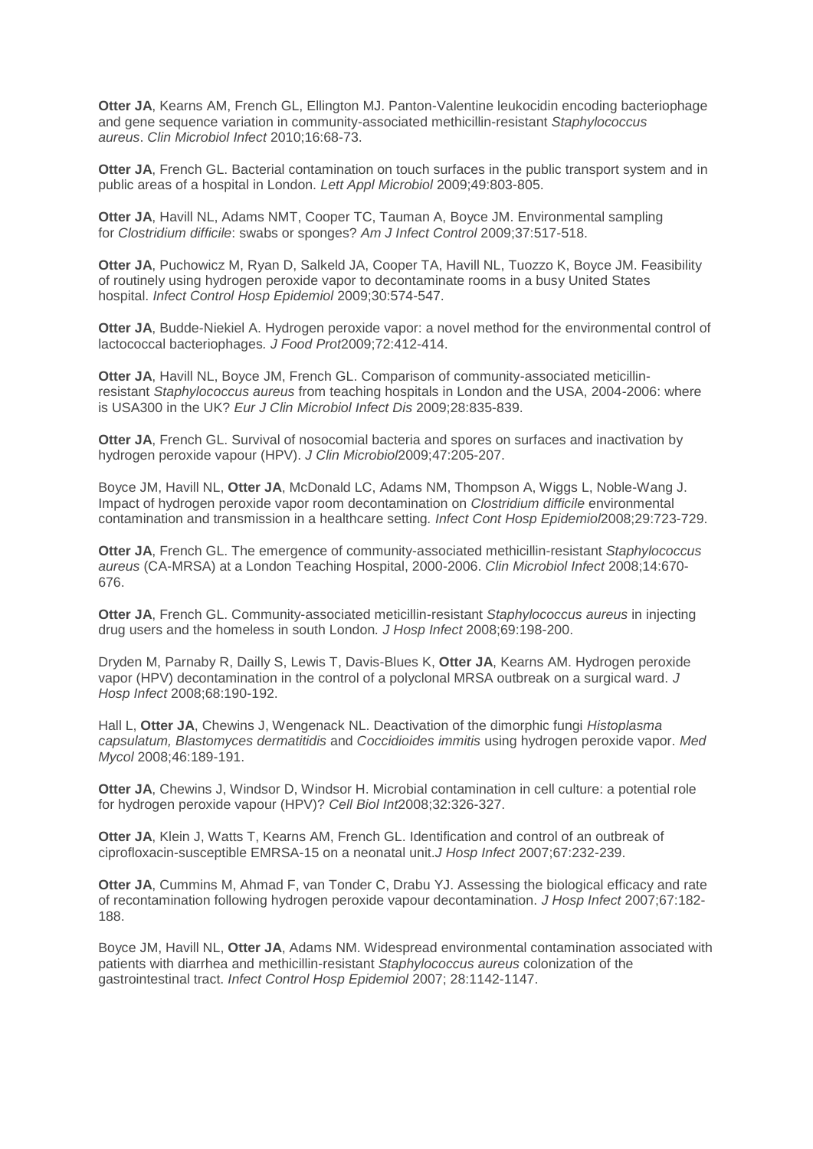**Otter JA**, Kearns AM, French GL, Ellington MJ. Panton-Valentine leukocidin encoding bacteriophage and gene sequence variation in community-associated methicillin-resistant *Staphylococcus aureus*. *Clin Microbiol Infect* 2010;16:68-73.

**Otter JA**, French GL. Bacterial contamination on touch surfaces in the public transport system and in public areas of a hospital in London. *Lett Appl Microbiol* 2009;49:803-805.

**Otter JA**, Havill NL, Adams NMT, Cooper TC, Tauman A, Boyce JM. Environmental sampling for *Clostridium difficile*: swabs or sponges? *Am J Infect Control* 2009;37:517-518.

**Otter JA**, Puchowicz M, Ryan D, Salkeld JA, Cooper TA, Havill NL, Tuozzo K, Boyce JM. Feasibility of routinely using hydrogen peroxide vapor to decontaminate rooms in a busy United States hospital. *Infect Control Hosp Epidemiol* 2009;30:574-547.

**Otter JA**, Budde-Niekiel A. Hydrogen peroxide vapor: a novel method for the environmental control of lactococcal bacteriophages*. J Food Prot*2009;72:412-414.

**Otter JA**, Havill NL, Boyce JM, French GL. Comparison of community-associated meticillinresistant *Staphylococcus aureus* from teaching hospitals in London and the USA, 2004-2006: where is USA300 in the UK? *Eur J Clin Microbiol Infect Dis* 2009;28:835-839.

**Otter JA**, French GL. Survival of nosocomial bacteria and spores on surfaces and inactivation by hydrogen peroxide vapour (HPV). *J Clin Microbiol*2009;47:205-207.

Boyce JM, Havill NL, **Otter JA**, McDonald LC, Adams NM, Thompson A, Wiggs L, Noble-Wang J. Impact of hydrogen peroxide vapor room decontamination on *Clostridium difficile* environmental contamination and transmission in a healthcare setting*. Infect Cont Hosp Epidemiol*2008;29:723-729.

**Otter JA**, French GL. The emergence of community-associated methicillin-resistant *Staphylococcus aureus* (CA-MRSA) at a London Teaching Hospital, 2000-2006. *Clin Microbiol Infect* 2008;14:670- 676.

**Otter JA**, French GL. Community-associated meticillin-resistant *Staphylococcus aureus* in injecting drug users and the homeless in south London*. J Hosp Infect* 2008;69:198-200.

Dryden M, Parnaby R, Dailly S, Lewis T, Davis-Blues K, **Otter JA**, Kearns AM. Hydrogen peroxide vapor (HPV) decontamination in the control of a polyclonal MRSA outbreak on a surgical ward. *J Hosp Infect* 2008;68:190-192.

Hall L, **Otter JA**, Chewins J, Wengenack NL. Deactivation of the dimorphic fungi *Histoplasma capsulatum, Blastomyces dermatitidis* and *Coccidioides immitis* using hydrogen peroxide vapor. *Med Mycol* 2008;46:189-191.

**Otter JA**, Chewins J, Windsor D, Windsor H. Microbial contamination in cell culture: a potential role for hydrogen peroxide vapour (HPV)? *Cell Biol Int*2008;32:326-327.

**Otter JA**, Klein J, Watts T, Kearns AM, French GL. Identification and control of an outbreak of ciprofloxacin-susceptible EMRSA-15 on a neonatal unit.*J Hosp Infect* 2007;67:232-239.

**Otter JA**, Cummins M, Ahmad F, van Tonder C, Drabu YJ. Assessing the biological efficacy and rate of recontamination following hydrogen peroxide vapour decontamination. *J Hosp Infect* 2007;67:182- 188.

Boyce JM, Havill NL, **Otter JA**, Adams NM. Widespread environmental contamination associated with patients with diarrhea and methicillin-resistant *Staphylococcus aureus* colonization of the gastrointestinal tract. *Infect Control Hosp Epidemiol* 2007; 28:1142-1147.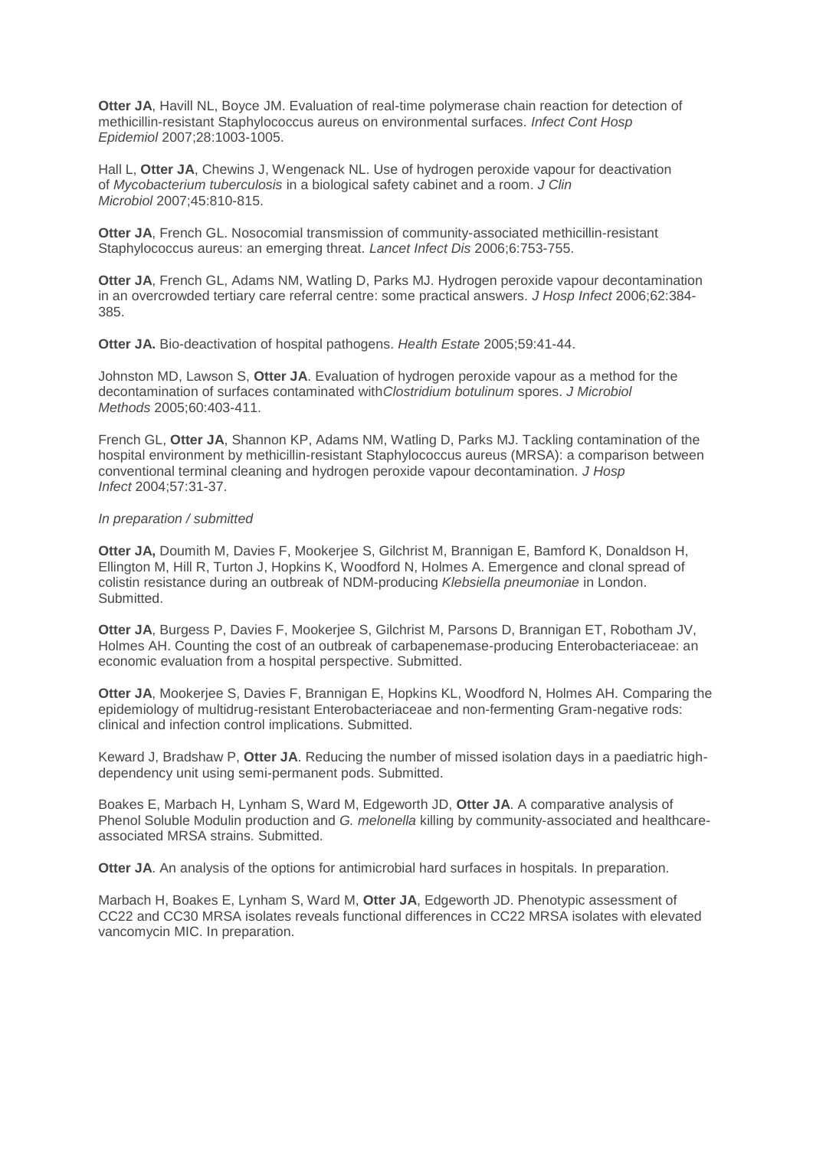**Otter JA**, Havill NL, Boyce JM. Evaluation of real-time polymerase chain reaction for detection of methicillin-resistant Staphylococcus aureus on environmental surfaces. *Infect Cont Hosp Epidemiol* 2007;28:1003-1005.

Hall L, **Otter JA**, Chewins J, Wengenack NL. Use of hydrogen peroxide vapour for deactivation of *Mycobacterium tuberculosis* in a biological safety cabinet and a room. *J Clin Microbiol* 2007;45:810-815.

**Otter JA**, French GL. Nosocomial transmission of community-associated methicillin-resistant Staphylococcus aureus: an emerging threat. *Lancet Infect Dis* 2006;6:753-755.

**Otter JA**, French GL, Adams NM, Watling D, Parks MJ. Hydrogen peroxide vapour decontamination in an overcrowded tertiary care referral centre: some practical answers. *J Hosp Infect* 2006;62:384- 385.

**Otter JA.** Bio-deactivation of hospital pathogens. *Health Estate* 2005;59:41-44.

Johnston MD, Lawson S, **Otter JA**. Evaluation of hydrogen peroxide vapour as a method for the decontamination of surfaces contaminated with*Clostridium botulinum* spores. *J Microbiol Methods* 2005;60:403-411.

French GL, **Otter JA**, Shannon KP, Adams NM, Watling D, Parks MJ. Tackling contamination of the hospital environment by methicillin-resistant Staphylococcus aureus (MRSA): a comparison between conventional terminal cleaning and hydrogen peroxide vapour decontamination. *J Hosp Infect* 2004;57:31-37.

#### *In preparation / submitted*

**Otter JA,** Doumith M, Davies F, Mookerjee S, Gilchrist M, Brannigan E, Bamford K, Donaldson H, Ellington M, Hill R, Turton J, Hopkins K, Woodford N, Holmes A. Emergence and clonal spread of colistin resistance during an outbreak of NDM-producing *Klebsiella pneumoniae* in London. Submitted.

**Otter JA**, Burgess P, Davies F, Mookerjee S, Gilchrist M, Parsons D, Brannigan ET, Robotham JV, Holmes AH. Counting the cost of an outbreak of carbapenemase-producing Enterobacteriaceae: an economic evaluation from a hospital perspective. Submitted.

**Otter JA**, Mookerjee S, Davies F, Brannigan E, Hopkins KL, Woodford N, Holmes AH. Comparing the epidemiology of multidrug-resistant Enterobacteriaceae and non-fermenting Gram-negative rods: clinical and infection control implications. Submitted.

Keward J, Bradshaw P, **Otter JA**. Reducing the number of missed isolation days in a paediatric highdependency unit using semi-permanent pods. Submitted.

Boakes E, Marbach H, Lynham S, Ward M, Edgeworth JD, **Otter JA**. A comparative analysis of Phenol Soluble Modulin production and *G. melonella* killing by community-associated and healthcareassociated MRSA strains. Submitted.

**Otter JA**. An analysis of the options for antimicrobial hard surfaces in hospitals. In preparation.

Marbach H, Boakes E, Lynham S, Ward M, **Otter JA**, Edgeworth JD. Phenotypic assessment of CC22 and CC30 MRSA isolates reveals functional differences in CC22 MRSA isolates with elevated vancomycin MIC. In preparation.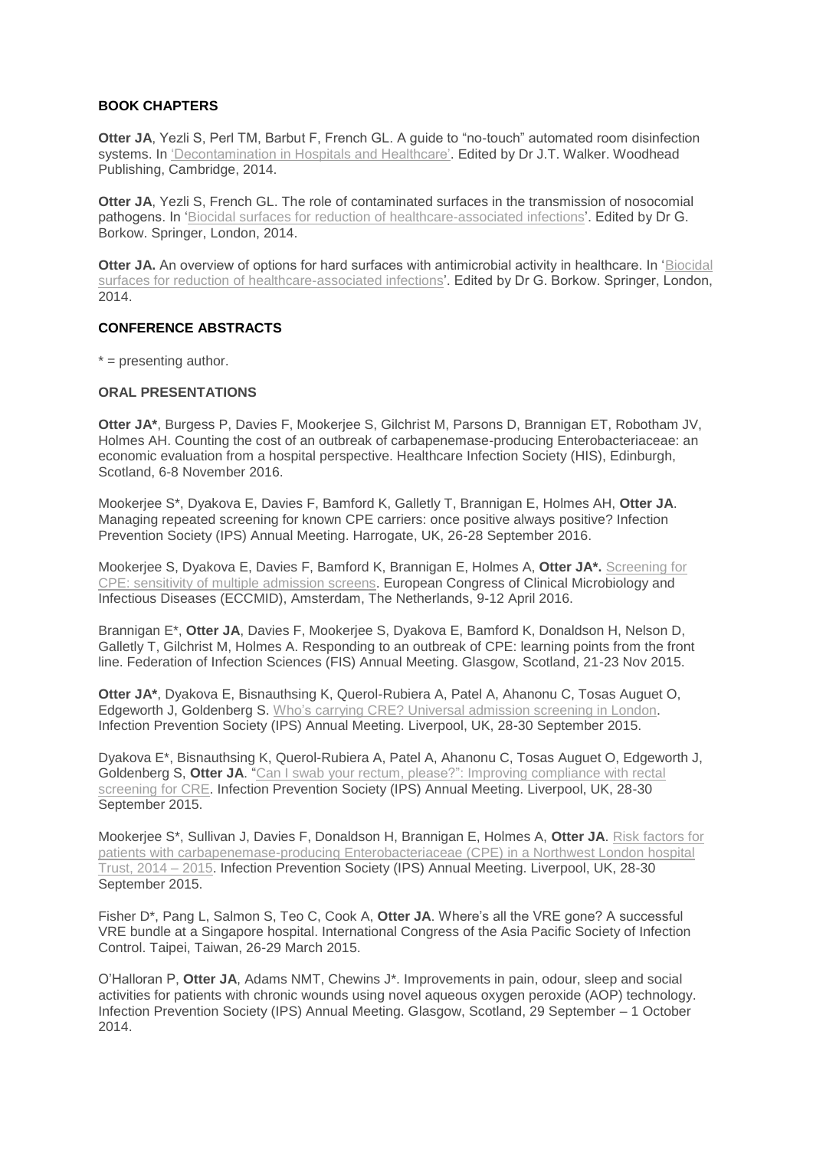## **BOOK CHAPTERS**

**Otter JA**, Yezli S, Perl TM, Barbut F, French GL. A guide to "no-touch" automated room disinfection systems. In ['Decontamination](http://www.amazon.co.uk/Decontamination-Hospitals-Healthcare-Publishing-Biomaterials/dp/0857096575) in Hospitals and Healthcare'. Edited by Dr J.T. Walker. Woodhead Publishing, Cambridge, 2014.

**Otter JA**, Yezli S, French GL. The role of contaminated surfaces in the transmission of nosocomial pathogens. In 'Biocidal surfaces for reduction of [healthcare-associated](http://www.springer.com/biomed/medical+microbiology/book/978-3-319-08056-7) infections'. Edited by Dr G. Borkow. Springer, London, 2014.

**Otter JA.** An overview of options for hard surfaces with antimicrobial activity in healthcare. In ['Biocidal](http://www.springer.com/biomed/medical+microbiology/book/978-3-319-08056-7) surfaces for reduction of [healthcare-associated](http://www.springer.com/biomed/medical+microbiology/book/978-3-319-08056-7) infections'. Edited by Dr G. Borkow. Springer, London, 2014.

#### **CONFERENCE ABSTRACTS**

 $* =$  presenting author.

#### **ORAL PRESENTATIONS**

**Otter JA\***, Burgess P, Davies F, Mookerjee S, Gilchrist M, Parsons D, Brannigan ET, Robotham JV, Holmes AH. Counting the cost of an outbreak of carbapenemase-producing Enterobacteriaceae: an economic evaluation from a hospital perspective. Healthcare Infection Society (HIS), Edinburgh, Scotland, 6-8 November 2016.

Mookerjee S\*, Dyakova E, Davies F, Bamford K, Galletly T, Brannigan E, Holmes AH, **Otter JA**. Managing repeated screening for known CPE carriers: once positive always positive? Infection Prevention Society (IPS) Annual Meeting. Harrogate, UK, 26-28 September 2016.

Mookerjee S, Dyakova E, Davies F, Bamford K, Brannigan E, Holmes A, **Otter JA\*.** [Screening](https://jonotter.files.wordpress.com/2015/07/160406-eccmid-screening-study-jon-otter_blog.pptx) for CPE: sensitivity of multiple [admission](https://jonotter.files.wordpress.com/2015/07/160406-eccmid-screening-study-jon-otter_blog.pptx) screens. European Congress of Clinical Microbiology and Infectious Diseases (ECCMID), Amsterdam, The Netherlands, 9-12 April 2016.

Brannigan E\*, **Otter JA**, Davies F, Mookerjee S, Dyakova E, Bamford K, Donaldson H, Nelson D, Galletly T, Gilchrist M, Holmes A. Responding to an outbreak of CPE: learning points from the front line. Federation of Infection Sciences (FIS) Annual Meeting. Glasgow, Scotland, 21-23 Nov 2015.

**Otter JA\***, Dyakova E, Bisnauthsing K, Querol-Rubiera A, Patel A, Ahanonu C, Tosas Auguet O, Edgeworth J, Goldenberg S. Who's carrying CRE? Universal [admission](https://jonotter.files.wordpress.com/2015/07/150924-2-cidr-ips-cpe-admission-screening.pptx) screening in London. Infection Prevention Society (IPS) Annual Meeting. Liverpool, UK, 28-30 September 2015.

Dyakova E\*, Bisnauthsing K, Querol-Rubiera A, Patel A, Ahanonu C, Tosas Auguet O, Edgeworth J, Goldenberg S, **Otter JA**. "Can I swab your rectum, please?": Improving [compliance](https://jonotter.files.wordpress.com/2015/07/150927-can-i-swab-your-rectum-ips-slides-latest_v2.pptx) with rectal [screening](https://jonotter.files.wordpress.com/2015/07/150927-can-i-swab-your-rectum-ips-slides-latest_v2.pptx) for CRE. Infection Prevention Society (IPS) Annual Meeting. Liverpool, UK, 28-30 September 2015.

Mookerjee S\*, Sullivan J, Davies F, Donaldson H, Brannigan E, Holmes A, **Otter JA**. Risk [factors](https://jonotter.files.wordpress.com/2015/07/ips-risk-factors-for-patient-with-cre_24092015_final.pptx) for patients with [carbapenemase-producing](https://jonotter.files.wordpress.com/2015/07/ips-risk-factors-for-patient-with-cre_24092015_final.pptx) Enterobacteriaceae (CPE) in a Northwest London hospital [Trust,](https://jonotter.files.wordpress.com/2015/07/ips-risk-factors-for-patient-with-cre_24092015_final.pptx) 2014 – 2015. Infection Prevention Society (IPS) Annual Meeting. Liverpool, UK, 28-30 September 2015.

Fisher D\*, Pang L, Salmon S, Teo C, Cook A, **Otter JA**. Where's all the VRE gone? A successful VRE bundle at a Singapore hospital. International Congress of the Asia Pacific Society of Infection Control. Taipei, Taiwan, 26-29 March 2015.

O'Halloran P, **Otter JA**, Adams NMT, Chewins J\*. Improvements in pain, odour, sleep and social activities for patients with chronic wounds using novel aqueous oxygen peroxide (AOP) technology. Infection Prevention Society (IPS) Annual Meeting. Glasgow, Scotland, 29 September – 1 October 2014.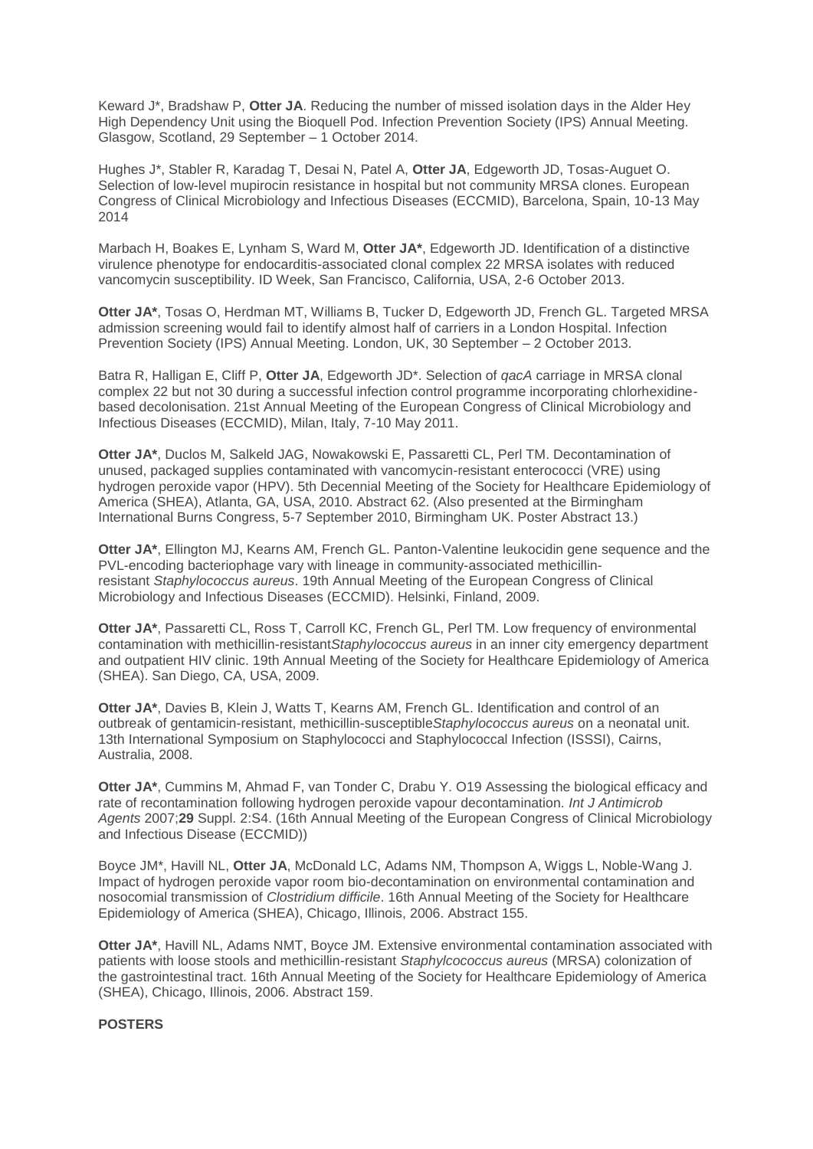Keward J\*, Bradshaw P, **Otter JA**. Reducing the number of missed isolation days in the Alder Hey High Dependency Unit using the Bioquell Pod. Infection Prevention Society (IPS) Annual Meeting. Glasgow, Scotland, 29 September – 1 October 2014.

Hughes J\*, Stabler R, Karadag T, Desai N, Patel A, **Otter JA**, Edgeworth JD, Tosas-Auguet O. Selection of low-level mupirocin resistance in hospital but not community MRSA clones. European Congress of Clinical Microbiology and Infectious Diseases (ECCMID), Barcelona, Spain, 10-13 May 2014

Marbach H, Boakes E, Lynham S, Ward M, **Otter JA\***, Edgeworth JD. Identification of a distinctive virulence phenotype for endocarditis-associated clonal complex 22 MRSA isolates with reduced vancomycin susceptibility. ID Week, San Francisco, California, USA, 2-6 October 2013.

**Otter JA\***, Tosas O, Herdman MT, Williams B, Tucker D, Edgeworth JD, French GL. Targeted MRSA admission screening would fail to identify almost half of carriers in a London Hospital. Infection Prevention Society (IPS) Annual Meeting. London, UK, 30 September – 2 October 2013.

Batra R, Halligan E, Cliff P, **Otter JA**, Edgeworth JD\*. Selection of *qacA* carriage in MRSA clonal complex 22 but not 30 during a successful infection control programme incorporating chlorhexidinebased decolonisation. 21st Annual Meeting of the European Congress of Clinical Microbiology and Infectious Diseases (ECCMID), Milan, Italy, 7-10 May 2011.

**Otter JA\***, Duclos M, Salkeld JAG, Nowakowski E, Passaretti CL, Perl TM. Decontamination of unused, packaged supplies contaminated with vancomycin-resistant enterococci (VRE) using hydrogen peroxide vapor (HPV). 5th Decennial Meeting of the Society for Healthcare Epidemiology of America (SHEA), Atlanta, GA, USA, 2010. Abstract 62. (Also presented at the Birmingham International Burns Congress, 5-7 September 2010, Birmingham UK. Poster Abstract 13.)

**Otter JA\***, Ellington MJ, Kearns AM, French GL. Panton-Valentine leukocidin gene sequence and the PVL-encoding bacteriophage vary with lineage in community-associated methicillinresistant *Staphylococcus aureus*. 19th Annual Meeting of the European Congress of Clinical Microbiology and Infectious Diseases (ECCMID). Helsinki, Finland, 2009.

**Otter JA\***, Passaretti CL, Ross T, Carroll KC, French GL, Perl TM. Low frequency of environmental contamination with methicillin-resistant*Staphylococcus aureus* in an inner city emergency department and outpatient HIV clinic. 19th Annual Meeting of the Society for Healthcare Epidemiology of America (SHEA). San Diego, CA, USA, 2009.

**Otter JA\***, Davies B, Klein J, Watts T, Kearns AM, French GL. Identification and control of an outbreak of gentamicin-resistant, methicillin-susceptible*Staphylococcus aureus* on a neonatal unit. 13th International Symposium on Staphylococci and Staphylococcal Infection (ISSSI), Cairns, Australia, 2008.

**Otter JA\***, Cummins M, Ahmad F, van Tonder C, Drabu Y. O19 Assessing the biological efficacy and rate of recontamination following hydrogen peroxide vapour decontamination. *Int J Antimicrob Agents* 2007;**29** Suppl. 2:S4. (16th Annual Meeting of the European Congress of Clinical Microbiology and Infectious Disease (ECCMID))

Boyce JM\*, Havill NL, **Otter JA**, McDonald LC, Adams NM, Thompson A, Wiggs L, Noble-Wang J. Impact of hydrogen peroxide vapor room bio-decontamination on environmental contamination and nosocomial transmission of *Clostridium difficile*. 16th Annual Meeting of the Society for Healthcare Epidemiology of America (SHEA), Chicago, Illinois, 2006. Abstract 155.

**Otter JA\***, Havill NL, Adams NMT, Boyce JM. Extensive environmental contamination associated with patients with loose stools and methicillin-resistant *Staphylcococcus aureus* (MRSA) colonization of the gastrointestinal tract. 16th Annual Meeting of the Society for Healthcare Epidemiology of America (SHEA), Chicago, Illinois, 2006. Abstract 159.

#### **POSTERS**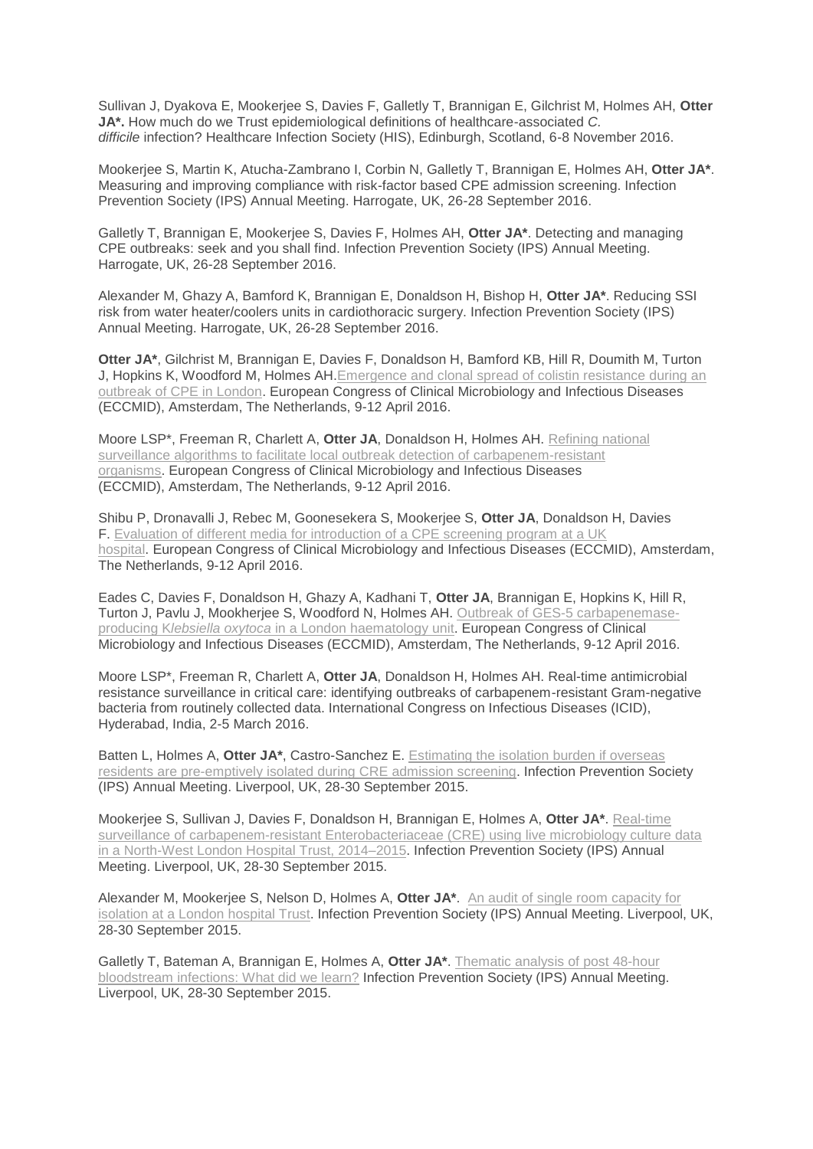Sullivan J, Dyakova E, Mookerjee S, Davies F, Galletly T, Brannigan E, Gilchrist M, Holmes AH, **Otter JA\*.** How much do we Trust epidemiological definitions of healthcare-associated *C. difficile* infection? Healthcare Infection Society (HIS), Edinburgh, Scotland, 6-8 November 2016.

Mookerjee S, Martin K, Atucha-Zambrano I, Corbin N, Galletly T, Brannigan E, Holmes AH, **Otter JA\***. Measuring and improving compliance with risk-factor based CPE admission screening. Infection Prevention Society (IPS) Annual Meeting. Harrogate, UK, 26-28 September 2016.

Galletly T, Brannigan E, Mookerjee S, Davies F, Holmes AH, **Otter JA\***. Detecting and managing CPE outbreaks: seek and you shall find. Infection Prevention Society (IPS) Annual Meeting. Harrogate, UK, 26-28 September 2016.

Alexander M, Ghazy A, Bamford K, Brannigan E, Donaldson H, Bishop H, **Otter JA\***. Reducing SSI risk from water heater/coolers units in cardiothoracic surgery. Infection Prevention Society (IPS) Annual Meeting. Harrogate, UK, 26-28 September 2016.

**Otter JA\***, Gilchrist M, Brannigan E, Davies F, Donaldson H, Bamford KB, Hill R, Doumith M, Turton J, Hopkins K, Woodford M, Holmes AH[.Emergence](https://jonotter.files.wordpress.com/2015/07/cpe-colistin-eccmid-2016.png) and clonal spread of colistin resistance during an [outbreak](https://jonotter.files.wordpress.com/2015/07/cpe-colistin-eccmid-2016.png) of CPE in London. European Congress of Clinical Microbiology and Infectious Diseases (ECCMID), Amsterdam, The Netherlands, 9-12 April 2016.

Moore LSP\*, Freeman R, Charlett A, **Otter JA**, Donaldson H, Holmes AH. [Refining](https://jonotter.files.wordpress.com/2015/07/surveillance-eccmid-poster.png) national surveillance algorithms to facilitate local outbreak detection of [carbapenem-resistant](https://jonotter.files.wordpress.com/2015/07/surveillance-eccmid-poster.png) [organisms.](https://jonotter.files.wordpress.com/2015/07/surveillance-eccmid-poster.png) European Congress of Clinical Microbiology and Infectious Diseases (ECCMID), Amsterdam, The Netherlands, 9-12 April 2016.

Shibu P, Dronavalli J, Rebec M, Goonesekera S, Mookerjee S, **Otter JA**, Donaldson H, Davies F. Evaluation of different media for [introduction](https://jonotter.files.wordpress.com/2015/07/cpe-screening-media.png) of a CPE screening program at a UK [hospital.](https://jonotter.files.wordpress.com/2015/07/cpe-screening-media.png) European Congress of Clinical Microbiology and Infectious Diseases (ECCMID), Amsterdam, The Netherlands, 9-12 April 2016.

Eades C, Davies F, Donaldson H, Ghazy A, Kadhani T, **Otter JA**, Brannigan E, Hopkins K, Hill R, Turton J, Pavlu J, Mookherjee S, Woodford N, Holmes AH. Outbreak of GES-5 [carbapenemase](https://jonotter.files.wordpress.com/2015/07/ges-5-eccmid.png)producing K*lebsiella oxytoca* in a London [haematology](https://jonotter.files.wordpress.com/2015/07/ges-5-eccmid.png) unit. European Congress of Clinical Microbiology and Infectious Diseases (ECCMID), Amsterdam, The Netherlands, 9-12 April 2016.

Moore LSP\*, Freeman R, Charlett A, **Otter JA**, Donaldson H, Holmes AH. Real-time antimicrobial resistance surveillance in critical care: identifying outbreaks of carbapenem-resistant Gram-negative bacteria from routinely collected data. International Congress on Infectious Diseases (ICID), Hyderabad, India, 2-5 March 2016.

Batten L, Holmes A, **Otter JA\***, Castro-Sanchez E. [Estimating](https://jonotter.files.wordpress.com/2015/07/150915_2-linda-batten-ips-poster.pdf) the isolation burden if overseas residents are [pre-emptively](https://jonotter.files.wordpress.com/2015/07/150915_2-linda-batten-ips-poster.pdf) isolated during CRE admission screening. Infection Prevention Society (IPS) Annual Meeting. Liverpool, UK, 28-30 September 2015.

Mookerjee S, Sullivan J, Davies F, Donaldson H, Brannigan E, Holmes A, **Otter JA\***. [Real-time](https://jonotter.files.wordpress.com/2015/07/150915-2-real-time-surveillance-of-cre-poster-ips_figure-3-amendment_v3.pdf) surveillance of [carbapenem-resistant](https://jonotter.files.wordpress.com/2015/07/150915-2-real-time-surveillance-of-cre-poster-ips_figure-3-amendment_v3.pdf) Enterobacteriaceae (CRE) using live microbiology culture data in a North-West London Hospital Trust, [2014–2015.](https://jonotter.files.wordpress.com/2015/07/150915-2-real-time-surveillance-of-cre-poster-ips_figure-3-amendment_v3.pdf) Infection Prevention Society (IPS) Annual Meeting. Liverpool, UK, 28-30 September 2015.

Alexander M, Mookerjee S, Nelson D, Holmes A, **Otter JA\***. An audit of single room [capacity](https://jonotter.files.wordpress.com/2015/07/150915_single-rooms-ips-poster.pdf) for [isolation](https://jonotter.files.wordpress.com/2015/07/150915_single-rooms-ips-poster.pdf) at a London hospital Trust. Infection Prevention Society (IPS) Annual Meeting. Liverpool, UK, 28-30 September 2015.

Galletly T, Bateman A, Brannigan E, Holmes A, **Otter JA\***. [Thematic](https://jonotter.files.wordpress.com/2015/07/150914-tracey-g-bsi-analysis-poster-ips.pdf) analysis of post 48-hour [bloodstream](https://jonotter.files.wordpress.com/2015/07/150914-tracey-g-bsi-analysis-poster-ips.pdf) infections: What did we learn? Infection Prevention Society (IPS) Annual Meeting. Liverpool, UK, 28-30 September 2015.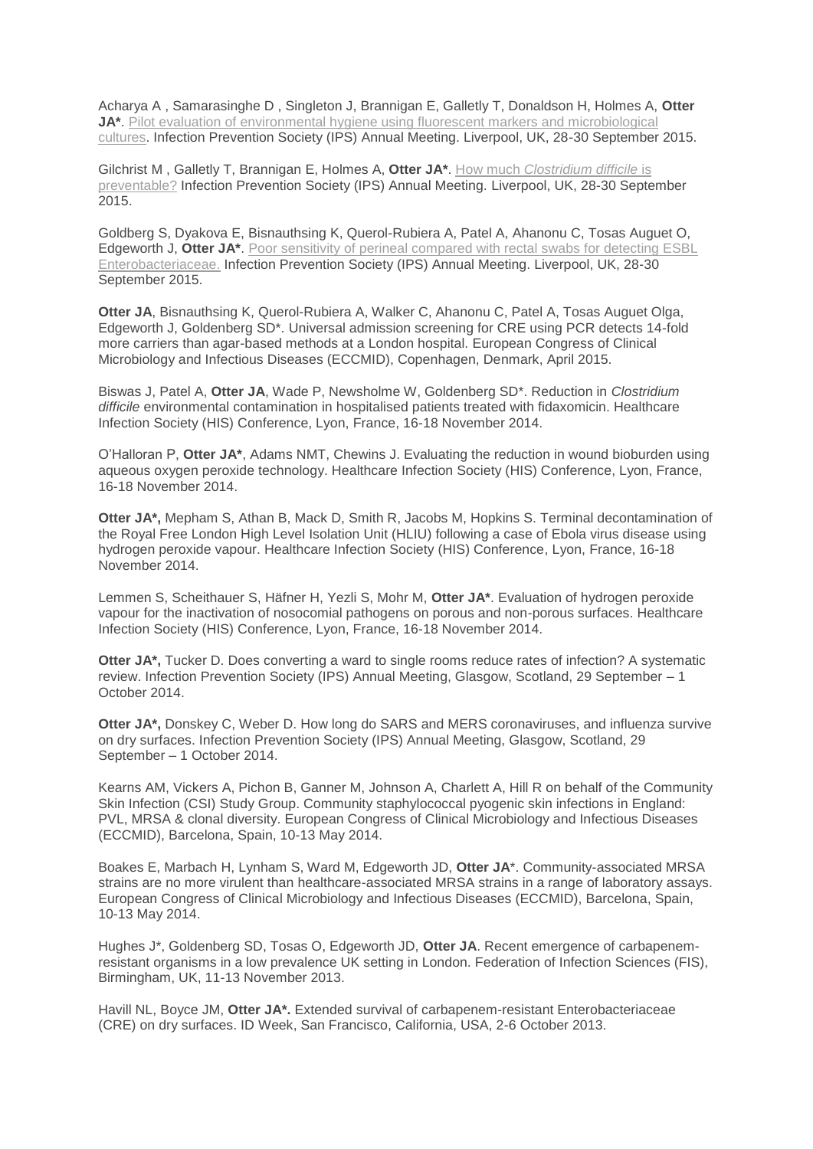Acharya A , Samarasinghe D , Singleton J, Brannigan E, Galletly T, Donaldson H, Holmes A, **Otter JA\***. Pilot evaluation of environmental hygiene using fluorescent markers and [microbiological](https://jonotter.files.wordpress.com/2015/07/150915_2-amish-environmental-ips-poster-fluorescent-markers.pdf) [cultures.](https://jonotter.files.wordpress.com/2015/07/150915_2-amish-environmental-ips-poster-fluorescent-markers.pdf) Infection Prevention Society (IPS) Annual Meeting. Liverpool, UK, 28-30 September 2015.

Gilchrist M , Galletly T, Brannigan E, Holmes A, **Otter JA\***. How much *[Clostridium](https://jonotter.files.wordpress.com/2015/07/150914-gilchrist-lapse-in-care-comments.pdf) difficile* is [preventable?](https://jonotter.files.wordpress.com/2015/07/150914-gilchrist-lapse-in-care-comments.pdf) Infection Prevention Society (IPS) Annual Meeting. Liverpool, UK, 28-30 September 2015.

Goldberg S, Dyakova E, Bisnauthsing K, Querol-Rubiera A, Patel A, Ahanonu C, Tosas Auguet O, Edgeworth J, **Otter JA\***. Poor sensitivity of perineal [compared](https://jonotter.files.wordpress.com/2015/07/150914-gstt-esbl-poster-ips.pdf) with rectal swabs for detecting ESBL [Enterobacteriaceae.](https://jonotter.files.wordpress.com/2015/07/150914-gstt-esbl-poster-ips.pdf) Infection Prevention Society (IPS) Annual Meeting. Liverpool, UK, 28-30 September 2015.

**Otter JA**, Bisnauthsing K, Querol-Rubiera A, Walker C, Ahanonu C, Patel A, Tosas Auguet Olga, Edgeworth J, Goldenberg SD\*. Universal admission screening for CRE using PCR detects 14-fold more carriers than agar-based methods at a London hospital. European Congress of Clinical Microbiology and Infectious Diseases (ECCMID), Copenhagen, Denmark, April 2015.

Biswas J, Patel A, **Otter JA**, Wade P, Newsholme W, Goldenberg SD\*. Reduction in *Clostridium difficile* environmental contamination in hospitalised patients treated with fidaxomicin. Healthcare Infection Society (HIS) Conference, Lyon, France, 16-18 November 2014.

O'Halloran P, **Otter JA\***, Adams NMT, Chewins J. Evaluating the reduction in wound bioburden using aqueous oxygen peroxide technology. Healthcare Infection Society (HIS) Conference, Lyon, France, 16-18 November 2014.

**Otter JA\*,** Mepham S, Athan B, Mack D, Smith R, Jacobs M, Hopkins S. Terminal decontamination of the Royal Free London High Level Isolation Unit (HLIU) following a case of Ebola virus disease using hydrogen peroxide vapour. Healthcare Infection Society (HIS) Conference, Lyon, France, 16-18 November 2014.

Lemmen S, Scheithauer S, Häfner H, Yezli S, Mohr M, **Otter JA\***. Evaluation of hydrogen peroxide vapour for the inactivation of nosocomial pathogens on porous and non-porous surfaces. Healthcare Infection Society (HIS) Conference, Lyon, France, 16-18 November 2014.

**Otter JA\*,** Tucker D. Does converting a ward to single rooms reduce rates of infection? A systematic review. Infection Prevention Society (IPS) Annual Meeting, Glasgow, Scotland, 29 September – 1 October 2014.

**Otter JA\*,** Donskey C, Weber D. How long do SARS and MERS coronaviruses, and influenza survive on dry surfaces. Infection Prevention Society (IPS) Annual Meeting, Glasgow, Scotland, 29 September – 1 October 2014.

Kearns AM, Vickers A, Pichon B, Ganner M, Johnson A, Charlett A, Hill R on behalf of the Community Skin Infection (CSI) Study Group. Community staphylococcal pyogenic skin infections in England: PVL, MRSA & clonal diversity. European Congress of Clinical Microbiology and Infectious Diseases (ECCMID), Barcelona, Spain, 10-13 May 2014.

Boakes E, Marbach H, Lynham S, Ward M, Edgeworth JD, **Otter JA**\*. Community-associated MRSA strains are no more virulent than healthcare-associated MRSA strains in a range of laboratory assays. European Congress of Clinical Microbiology and Infectious Diseases (ECCMID), Barcelona, Spain, 10-13 May 2014.

Hughes J\*, Goldenberg SD, Tosas O, Edgeworth JD, **Otter JA**. Recent emergence of carbapenemresistant organisms in a low prevalence UK setting in London. Federation of Infection Sciences (FIS), Birmingham, UK, 11-13 November 2013.

Havill NL, Boyce JM, **Otter JA\*.** Extended survival of carbapenem-resistant Enterobacteriaceae (CRE) on dry surfaces. ID Week, San Francisco, California, USA, 2-6 October 2013.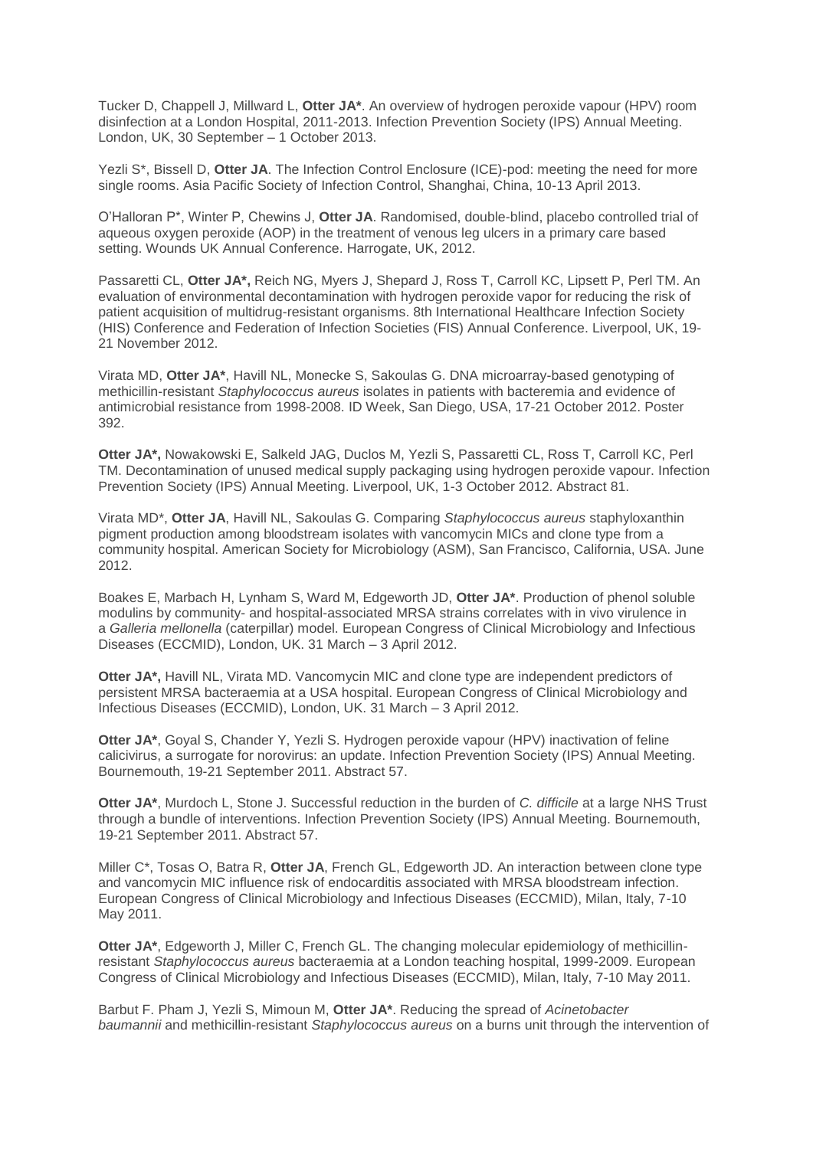Tucker D, Chappell J, Millward L, **Otter JA\***. An overview of hydrogen peroxide vapour (HPV) room disinfection at a London Hospital, 2011-2013. Infection Prevention Society (IPS) Annual Meeting. London, UK, 30 September – 1 October 2013.

Yezli S\*, Bissell D, **Otter JA**. The Infection Control Enclosure (ICE)-pod: meeting the need for more single rooms. Asia Pacific Society of Infection Control, Shanghai, China, 10-13 April 2013.

O'Halloran P\*, Winter P, Chewins J, **Otter JA**. Randomised, double-blind, placebo controlled trial of aqueous oxygen peroxide (AOP) in the treatment of venous leg ulcers in a primary care based setting. Wounds UK Annual Conference. Harrogate, UK, 2012.

Passaretti CL, **Otter JA\*,** Reich NG, Myers J, Shepard J, Ross T, Carroll KC, Lipsett P, Perl TM. An evaluation of environmental decontamination with hydrogen peroxide vapor for reducing the risk of patient acquisition of multidrug-resistant organisms. 8th International Healthcare Infection Society (HIS) Conference and Federation of Infection Societies (FIS) Annual Conference. Liverpool, UK, 19- 21 November 2012.

Virata MD, **Otter JA\***, Havill NL, Monecke S, Sakoulas G. DNA microarray-based genotyping of methicillin-resistant *Staphylococcus aureus* isolates in patients with bacteremia and evidence of antimicrobial resistance from 1998-2008. ID Week, San Diego, USA, 17-21 October 2012. Poster 392.

**Otter JA\*,** Nowakowski E, Salkeld JAG, Duclos M, Yezli S, Passaretti CL, Ross T, Carroll KC, Perl TM. Decontamination of unused medical supply packaging using hydrogen peroxide vapour. Infection Prevention Society (IPS) Annual Meeting. Liverpool, UK, 1-3 October 2012. Abstract 81.

Virata MD\*, **Otter JA**, Havill NL, Sakoulas G. Comparing *Staphylococcus aureus* staphyloxanthin pigment production among bloodstream isolates with vancomycin MICs and clone type from a community hospital. American Society for Microbiology (ASM), San Francisco, California, USA. June 2012.

Boakes E, Marbach H, Lynham S, Ward M, Edgeworth JD, **Otter JA\***. Production of phenol soluble modulins by community- and hospital-associated MRSA strains correlates with in vivo virulence in a *Galleria mellonella* (caterpillar) model. European Congress of Clinical Microbiology and Infectious Diseases (ECCMID), London, UK. 31 March – 3 April 2012.

**Otter JA\*,** Havill NL, Virata MD. Vancomycin MIC and clone type are independent predictors of persistent MRSA bacteraemia at a USA hospital. European Congress of Clinical Microbiology and Infectious Diseases (ECCMID), London, UK. 31 March – 3 April 2012.

**Otter JA\***, Goyal S, Chander Y, Yezli S. Hydrogen peroxide vapour (HPV) inactivation of feline calicivirus, a surrogate for norovirus: an update. Infection Prevention Society (IPS) Annual Meeting. Bournemouth, 19-21 September 2011. Abstract 57.

**Otter JA\***, Murdoch L, Stone J. Successful reduction in the burden of *C. difficile* at a large NHS Trust through a bundle of interventions. Infection Prevention Society (IPS) Annual Meeting. Bournemouth, 19-21 September 2011. Abstract 57.

Miller C\*, Tosas O, Batra R, **Otter JA**, French GL, Edgeworth JD. An interaction between clone type and vancomycin MIC influence risk of endocarditis associated with MRSA bloodstream infection. European Congress of Clinical Microbiology and Infectious Diseases (ECCMID), Milan, Italy, 7-10 May 2011.

**Otter JA\***, Edgeworth J, Miller C, French GL. The changing molecular epidemiology of methicillinresistant *Staphylococcus aureus* bacteraemia at a London teaching hospital, 1999-2009. European Congress of Clinical Microbiology and Infectious Diseases (ECCMID), Milan, Italy, 7-10 May 2011.

Barbut F. Pham J, Yezli S, Mimoun M, **Otter JA\***. Reducing the spread of *Acinetobacter baumannii* and methicillin-resistant *Staphylococcus aureus* on a burns unit through the intervention of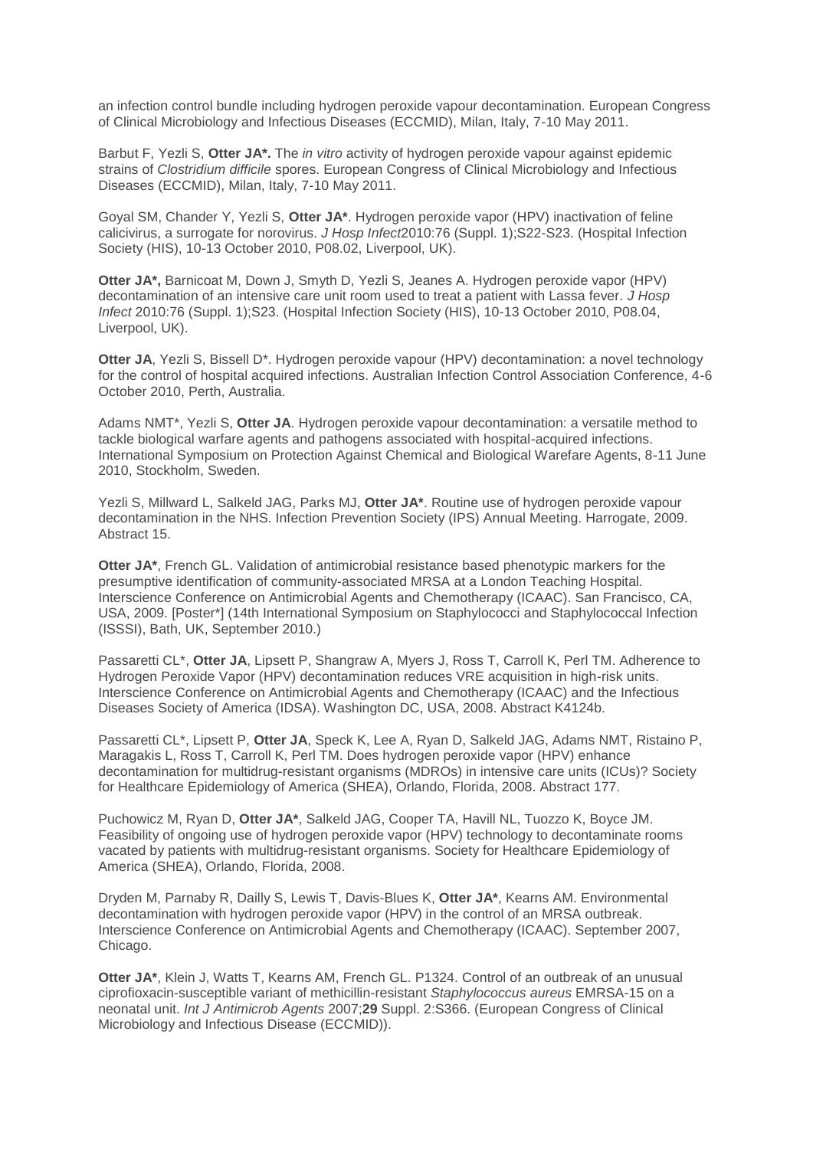an infection control bundle including hydrogen peroxide vapour decontamination. European Congress of Clinical Microbiology and Infectious Diseases (ECCMID), Milan, Italy, 7-10 May 2011.

Barbut F, Yezli S, **Otter JA\*.** The *in vitro* activity of hydrogen peroxide vapour against epidemic strains of *Clostridium difficile* spores. European Congress of Clinical Microbiology and Infectious Diseases (ECCMID), Milan, Italy, 7-10 May 2011.

Goyal SM, Chander Y, Yezli S, **Otter JA\***. Hydrogen peroxide vapor (HPV) inactivation of feline calicivirus, a surrogate for norovirus. *J Hosp Infect*2010:76 (Suppl. 1);S22-S23. (Hospital Infection Society (HIS), 10-13 October 2010, P08.02, Liverpool, UK).

**Otter JA\*,** Barnicoat M, Down J, Smyth D, Yezli S, Jeanes A. Hydrogen peroxide vapor (HPV) decontamination of an intensive care unit room used to treat a patient with Lassa fever. *J Hosp Infect* 2010:76 (Suppl. 1);S23. (Hospital Infection Society (HIS), 10-13 October 2010, P08.04, Liverpool, UK).

**Otter JA**, Yezli S, Bissell D\*. Hydrogen peroxide vapour (HPV) decontamination: a novel technology for the control of hospital acquired infections. Australian Infection Control Association Conference, 4-6 October 2010, Perth, Australia.

Adams NMT\*, Yezli S, **Otter JA**. Hydrogen peroxide vapour decontamination: a versatile method to tackle biological warfare agents and pathogens associated with hospital-acquired infections. International Symposium on Protection Against Chemical and Biological Warefare Agents, 8-11 June 2010, Stockholm, Sweden.

Yezli S, Millward L, Salkeld JAG, Parks MJ, **Otter JA\***. Routine use of hydrogen peroxide vapour decontamination in the NHS. Infection Prevention Society (IPS) Annual Meeting. Harrogate, 2009. Abstract 15.

**Otter JA\***, French GL. Validation of antimicrobial resistance based phenotypic markers for the presumptive identification of community-associated MRSA at a London Teaching Hospital. Interscience Conference on Antimicrobial Agents and Chemotherapy (ICAAC). San Francisco, CA, USA, 2009. [Poster\*] (14th International Symposium on Staphylococci and Staphylococcal Infection (ISSSI), Bath, UK, September 2010.)

Passaretti CL\*, **Otter JA**, Lipsett P, Shangraw A, Myers J, Ross T, Carroll K, Perl TM. Adherence to Hydrogen Peroxide Vapor (HPV) decontamination reduces VRE acquisition in high-risk units. Interscience Conference on Antimicrobial Agents and Chemotherapy (ICAAC) and the Infectious Diseases Society of America (IDSA). Washington DC, USA, 2008. Abstract K4124b.

Passaretti CL\*, Lipsett P, **Otter JA**, Speck K, Lee A, Ryan D, Salkeld JAG, Adams NMT, Ristaino P, Maragakis L, Ross T, Carroll K, Perl TM. Does hydrogen peroxide vapor (HPV) enhance decontamination for multidrug-resistant organisms (MDROs) in intensive care units (ICUs)? Society for Healthcare Epidemiology of America (SHEA), Orlando, Florida, 2008. Abstract 177.

Puchowicz M, Ryan D, **Otter JA\***, Salkeld JAG, Cooper TA, Havill NL, Tuozzo K, Boyce JM. Feasibility of ongoing use of hydrogen peroxide vapor (HPV) technology to decontaminate rooms vacated by patients with multidrug-resistant organisms. Society for Healthcare Epidemiology of America (SHEA), Orlando, Florida, 2008.

Dryden M, Parnaby R, Dailly S, Lewis T, Davis-Blues K, **Otter JA\***, Kearns AM. Environmental decontamination with hydrogen peroxide vapor (HPV) in the control of an MRSA outbreak. Interscience Conference on Antimicrobial Agents and Chemotherapy (ICAAC). September 2007, Chicago.

**Otter JA\***, Klein J, Watts T, Kearns AM, French GL. P1324. Control of an outbreak of an unusual ciprofioxacin-susceptible variant of methicillin-resistant *Staphylococcus aureus* EMRSA-15 on a neonatal unit. *Int J Antimicrob Agents* 2007;**29** Suppl. 2:S366. (European Congress of Clinical Microbiology and Infectious Disease (ECCMID)).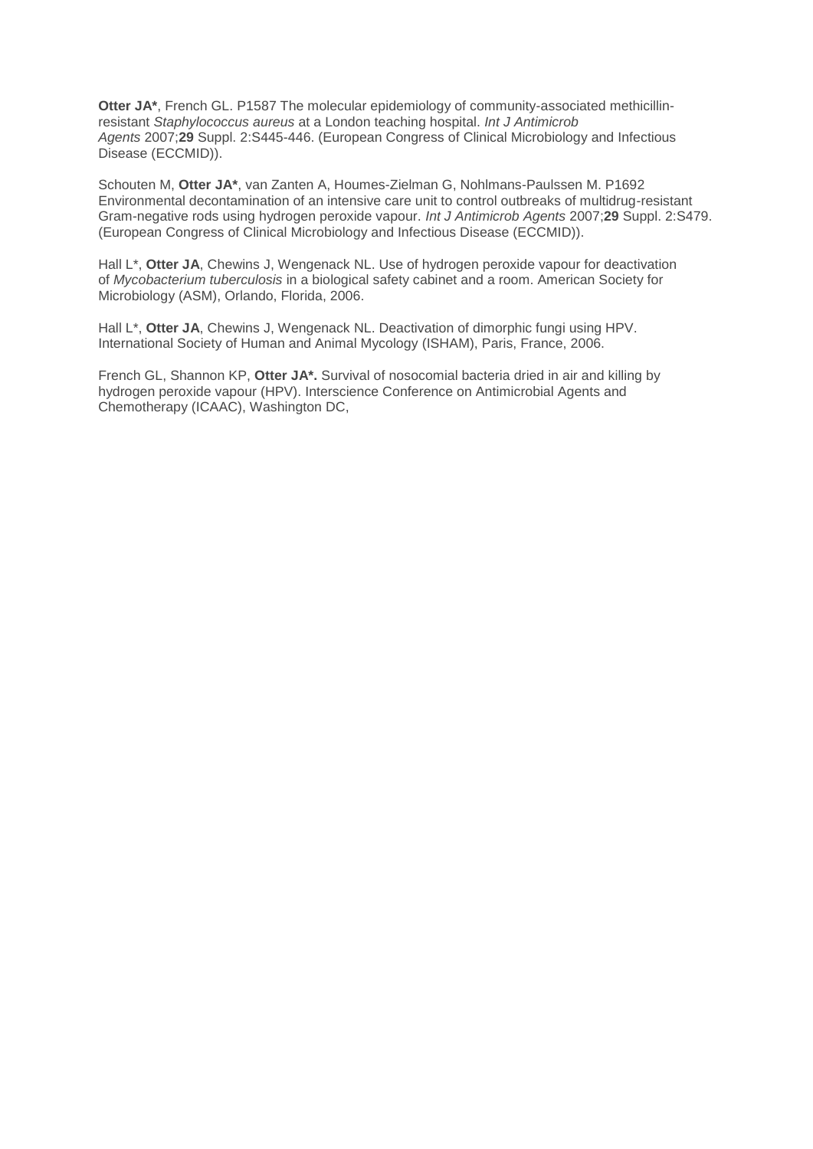**Otter JA\***, French GL. P1587 The molecular epidemiology of community-associated methicillinresistant *Staphylococcus aureus* at a London teaching hospital. *Int J Antimicrob Agents* 2007;**29** Suppl. 2:S445-446. (European Congress of Clinical Microbiology and Infectious Disease (ECCMID)).

Schouten M, **Otter JA\***, van Zanten A, Houmes-Zielman G, Nohlmans-Paulssen M. P1692 Environmental decontamination of an intensive care unit to control outbreaks of multidrug-resistant Gram-negative rods using hydrogen peroxide vapour. *Int J Antimicrob Agents* 2007;**29** Suppl. 2:S479. (European Congress of Clinical Microbiology and Infectious Disease (ECCMID)).

Hall L\*, **Otter JA**, Chewins J, Wengenack NL. Use of hydrogen peroxide vapour for deactivation of *Mycobacterium tuberculosis* in a biological safety cabinet and a room. American Society for Microbiology (ASM), Orlando, Florida, 2006.

Hall L\*, **Otter JA**, Chewins J, Wengenack NL. Deactivation of dimorphic fungi using HPV. International Society of Human and Animal Mycology (ISHAM), Paris, France, 2006.

French GL, Shannon KP, **Otter JA\*.** Survival of nosocomial bacteria dried in air and killing by hydrogen peroxide vapour (HPV). Interscience Conference on Antimicrobial Agents and Chemotherapy (ICAAC), Washington DC,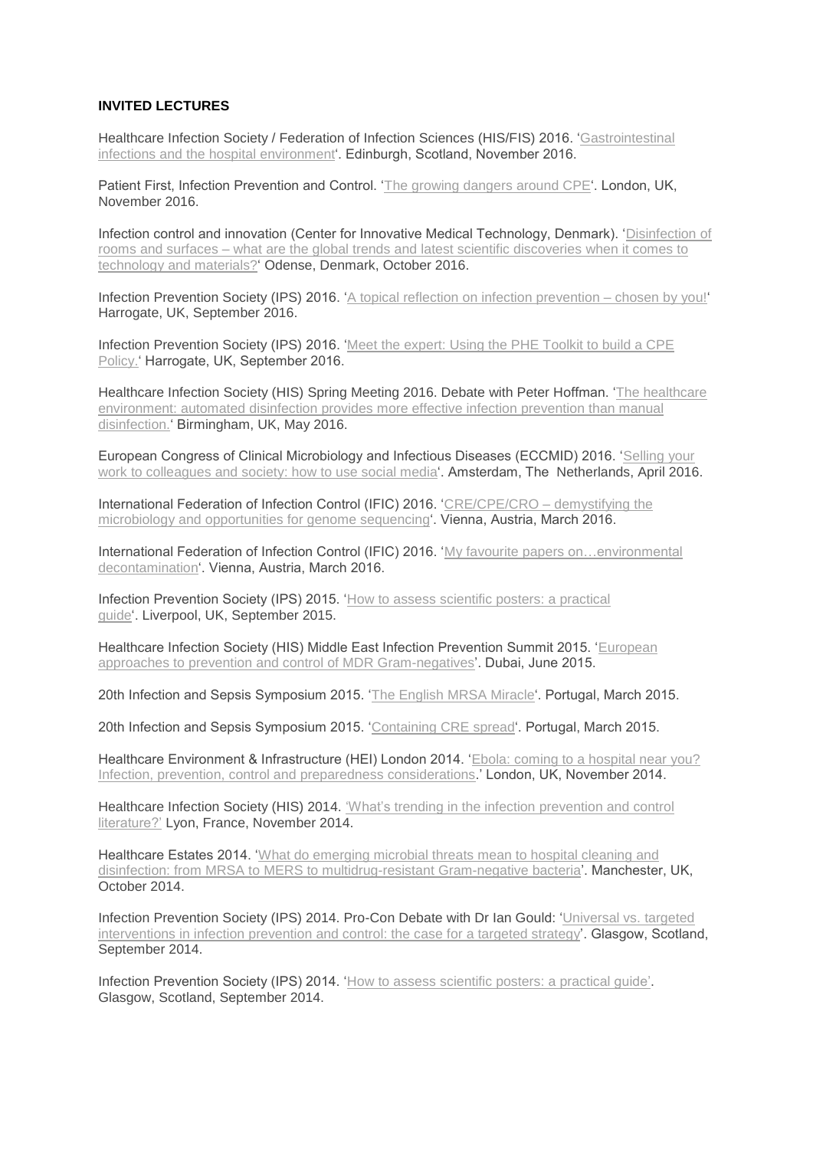#### **INVITED LECTURES**

Healthcare Infection Society / Federation of Infection Sciences (HIS/FIS) 2016. ['Gastrointestinal](http://www.his.org.uk/events/his2016/speakers/#.VqtPv9Ltmko) infections and the hospital [environment'.](http://www.his.org.uk/events/his2016/speakers/#.VqtPv9Ltmko) Edinburgh, Scotland, November 2016.

Patient First, Infection Prevention and Control. 'The growing [dangers](http://www.patientfirstuk.com/patient-first-programme) around CPE'. London, UK, November 2016.

Infection control and innovation (Center for Innovative Medical Technology, Denmark). ['Disinfection](http://cimt.dk/en/conference2016-infectioncontrol/) of rooms and surfaces – what are the global trends and latest scientific [discoveries](http://cimt.dk/en/conference2016-infectioncontrol/) when it comes to technology and [materials?'](http://cimt.dk/en/conference2016-infectioncontrol/) Odense, Denmark, October 2016.

Infection Prevention Society (IPS) 2016. 'A topical reflection on infection [prevention](http://www.ips.uk.net/education-events/annual-conference/programme/programme-temp/) – chosen by you!' Harrogate, UK, September 2016.

Infection Prevention Society (IPS) 2016. 'Meet the [expert:](http://www.ips.uk.net/education-events/annual-conference/programme/programme-temp/) Using the PHE Toolkit to build a CPE [Policy.'](http://www.ips.uk.net/education-events/annual-conference/programme/programme-temp/) Harrogate, UK, September 2016.

Healthcare Infection Society (HIS) Spring Meeting 2016. Debate with Peter Hoffman. 'The [healthcare](https://jonotter.files.wordpress.com/2015/07/160503-his-spring-otter-auto-room-decon_website-version1.pptx) [environment:](https://jonotter.files.wordpress.com/2015/07/160503-his-spring-otter-auto-room-decon_website-version1.pptx) automated disinfection provides more effective infection prevention than manual [disinfection.'](https://jonotter.files.wordpress.com/2015/07/160503-his-spring-otter-auto-room-decon_website-version1.pptx) Birmingham, UK, May 2016.

European Congress of Clinical Microbiology and Infectious Diseases (ECCMID) 2016. ['Selling](https://jonotter.files.wordpress.com/2015/07/160408-eccmid-social-media_jon-otter_blog.pptx) your work to [colleagues](https://jonotter.files.wordpress.com/2015/07/160408-eccmid-social-media_jon-otter_blog.pptx) and society: how to use social media'. Amsterdam, The Netherlands, April 2016.

International Federation of Infection Control (IFIC) 2016. ['CRE/CPE/CRO](https://jonotter.files.wordpress.com/2015/07/160314-ific-jon-otter-demystistying-micro-cpe-etc_website-version1.pptx) – demystifying the microbiology and [opportunities](https://jonotter.files.wordpress.com/2015/07/160314-ific-jon-otter-demystistying-micro-cpe-etc_website-version1.pptx) for genome sequencing'. Vienna, Austria, March 2016.

International Federation of Infection Control (IFIC) 2016. 'My favourite papers [on…environmental](https://jonotter.files.wordpress.com/2015/07/160315-ific-jon-otter-env-decon-fav-papers_website-version1.pptx) [decontamination'.](https://jonotter.files.wordpress.com/2015/07/160315-ific-jon-otter-env-decon-fav-papers_website-version1.pptx) Vienna, Austria, March 2016.

Infection Prevention Society (IPS) 2015. 'How to assess [scientific](https://jonotter.files.wordpress.com/2015/07/150927-how-to-assess-posters-practical-guide.pptx) posters: a practical [guide'.](https://jonotter.files.wordpress.com/2015/07/150927-how-to-assess-posters-practical-guide.pptx) Liverpool, UK, September 2015.

Healthcare Infection Society (HIS) Middle East Infection Prevention Summit 2015. ['European](http://reflectionsipc.com/2015/06/04/european-approaches-to-mdr-gnr-prevention-and-control/) approaches to prevention and control of MDR [Gram-negatives'.](http://reflectionsipc.com/2015/06/04/european-approaches-to-mdr-gnr-prevention-and-control/) Dubai, June 2015.

20th Infection and Sepsis Symposium 2015. 'The English MRSA [Miracle'.](http://reflectionsipc.com/2015/03/03/the-english-mrsa-miracle/) Portugal, March 2015.

20th Infection and Sepsis Symposium 2015. ['Containing](https://jonotter.files.wordpress.com/2015/07/150227-portugal-containing-cre-spread.ppt) CRE spread'. Portugal, March 2015.

Healthcare Environment & Infrastructure (HEI) London 2014. 'Ebola: coming to a [hospital](https://jonotter.files.wordpress.com/2015/07/141202-ebola-coming-to-a-hospital-near-you-hei-london.pptx) near you? Infection, prevention, control and preparedness [considerations.](https://jonotter.files.wordpress.com/2015/07/141202-ebola-coming-to-a-hospital-near-you-hei-london.pptx)' London, UK, November 2014.

Healthcare Infection Society (HIS) 2014. 'What's trending in the infection [prevention](http://www.micro-blog.info/2014/11/whats-trending-in-the-infection-prevention-and-control-literaturehis-2012-his-2014/) and control [literature?'](http://www.micro-blog.info/2014/11/whats-trending-in-the-infection-prevention-and-control-literaturehis-2012-his-2014/) Lyon, France, November 2014.

Healthcare Estates 2014. 'What do [emerging](https://jonotter.files.wordpress.com/2015/07/141006-healthcare-estate-emerging-pathogens_jon-otter.pptx) microbial threats mean to hospital cleaning and disinfection: from MRSA to MERS to [multidrug-resistant](https://jonotter.files.wordpress.com/2015/07/141006-healthcare-estate-emerging-pathogens_jon-otter.pptx) Gram-negative bacteria'. Manchester, UK, October 2014.

Infection Prevention Society (IPS) 2014. Pro-Con Debate with Dr Ian Gould: ['Universal](https://jonotter.net/invited-lectures/%20the%20case%20for%20a%20targeted%20strategy) vs. targeted [interventions](https://jonotter.net/invited-lectures/%20the%20case%20for%20a%20targeted%20strategy) in infection prevention and control: the case for a targeted strategy'. Glasgow, Scotland, September 2014.

Infection Prevention Society (IPS) 2014. 'How to assess [scientific](http://www.micro-blog.info/2014/09/how-to-assess-scientific-posters-a-practical-guide/) posters: a practical guide'. Glasgow, Scotland, September 2014.